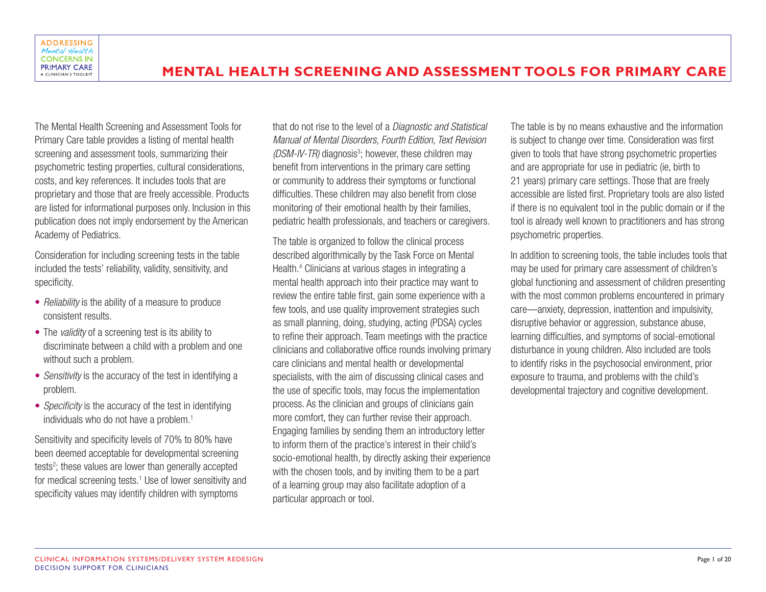The Mental Health Screening and Assessment Tools for Primary Care table provides a listing of mental health screening and assessment tools, summarizing their psychometric testing properties, cultural considerations, costs, and key references. It includes tools that are proprietary and those that are freely accessible. Products are listed for informational purposes only. Inclusion in this publication does not imply endorsement by the American Academy of Pediatrics.

Consideration for including screening tests in the table included the tests' reliability, validity, sensitivity, and specificity.

- *Reliability* is the ability of a measure to produce consistent results.
- The *validity* of a screening test is its ability to discriminate between a child with a problem and one without such a problem.
- *Sensitivity* is the accuracy of the test in identifying a problem.
- *Specificity* is the accuracy of the test in identifying individuals who do not have a problem.<sup>1</sup>

Sensitivity and specificity levels of 70% to 80% have been deemed acceptable for developmental screening tests<sup>2</sup>; these values are lower than generally accepted for medical screening tests.<sup>1</sup> Use of lower sensitivity and specificity values may identify children with symptoms

that do not rise to the level of a *Diagnostic and Statistical Manual of Mental Disorders, Fourth Edition, Text Revision*  (DSM-IV-TR) diagnosis<sup>3</sup>; however, these children may benefit from interventions in the primary care setting or community to address their symptoms or functional difficulties. These children may also benefit from close monitoring of their emotional health by their families, pediatric health professionals, and teachers or caregivers.

The table is organized to follow the clinical process described algorithmically by the Task Force on Mental Health.4 Clinicians at various stages in integrating a mental health approach into their practice may want to review the entire table first, gain some experience with a few tools, and use quality improvement strategies such as small planning, doing, studying, acting (PDSA) cycles to refine their approach. Team meetings with the practice clinicians and collaborative office rounds involving primary care clinicians and mental health or developmental specialists, with the aim of discussing clinical cases and the use of specific tools, may focus the implementation process. As the clinician and groups of clinicians gain more comfort, they can further revise their approach. Engaging families by sending them an introductory letter to inform them of the practice's interest in their child's socio-emotional health, by directly asking their experience with the chosen tools, and by inviting them to be a part of a learning group may also facilitate adoption of a particular approach or tool.

The table is by no means exhaustive and the information is subject to change over time. Consideration was first given to tools that have strong psychometric properties and are appropriate for use in pediatric (ie, birth to 21 years) primary care settings. Those that are freely accessible are listed first. Proprietary tools are also listed if there is no equivalent tool in the public domain or if the tool is already well known to practitioners and has strong psychometric properties.

In addition to screening tools, the table includes tools that may be used for primary care assessment of children's global functioning and assessment of children presenting with the most common problems encountered in primary care—anxiety, depression, inattention and impulsivity, disruptive behavior or aggression, substance abuse, learning difficulties, and symptoms of social-emotional disturbance in young children. Also included are tools to identify risks in the psychosocial environment, prior exposure to trauma, and problems with the child's developmental trajectory and cognitive development.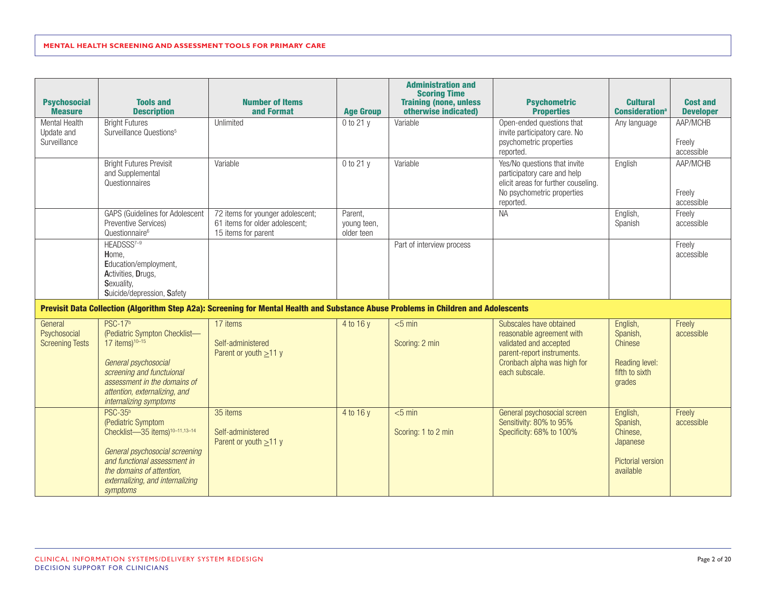| <b>Psychosocial</b><br><b>Measure</b>             | <b>Tools and</b><br><b>Description</b>                                                                                                                                                                                          | <b>Number of Items</b><br>and Format                                                                                                | <b>Age Group</b>                     | <b>Administration and</b><br><b>Scoring Time</b><br><b>Training (none, unless</b><br>otherwise indicated) | <b>Psychometric</b><br><b>Properties</b>                                                                                                                      | <b>Cultural</b><br><b>Consideration</b> <sup>a</sup>                                  | <b>Cost and</b><br><b>Developer</b> |
|---------------------------------------------------|---------------------------------------------------------------------------------------------------------------------------------------------------------------------------------------------------------------------------------|-------------------------------------------------------------------------------------------------------------------------------------|--------------------------------------|-----------------------------------------------------------------------------------------------------------|---------------------------------------------------------------------------------------------------------------------------------------------------------------|---------------------------------------------------------------------------------------|-------------------------------------|
| Mental Health<br>Update and<br>Surveillance       | <b>Bright Futures</b><br>Surveillance Questions <sup>5</sup>                                                                                                                                                                    | Unlimited                                                                                                                           | $0$ to 21 y                          | Variable                                                                                                  | Open-ended questions that<br>invite participatory care. No<br>psychometric properties<br>reported.                                                            | Any language                                                                          | AAP/MCHB<br>Freely<br>accessible    |
|                                                   | <b>Bright Futures Previsit</b><br>and Supplemental<br>Questionnaires                                                                                                                                                            | Variable                                                                                                                            | $0$ to 21 y                          | Variable                                                                                                  | Yes/No questions that invite<br>participatory care and help<br>elicit areas for further couseling.<br>No psychometric properties<br>reported.                 | English                                                                               | AAP/MCHB<br>Freely<br>accessible    |
|                                                   | <b>GAPS (Guidelines for Adolescent</b><br>Preventive Services)<br>Questionnaire <sup>6</sup>                                                                                                                                    | 72 items for younger adolescent;<br>61 items for older adolescent;<br>15 items for parent                                           | Parent,<br>young teen,<br>older teen |                                                                                                           | <b>NA</b>                                                                                                                                                     | English,<br>Spanish                                                                   | Freely<br>accessible                |
|                                                   | HEADSSS <sup>7-9</sup><br>Home,<br>Education/employment,<br>Activities, Drugs,<br>Sexuality,<br>Suicide/depression, Safety                                                                                                      |                                                                                                                                     |                                      | Part of interview process                                                                                 |                                                                                                                                                               |                                                                                       | Freely<br>accessible                |
|                                                   |                                                                                                                                                                                                                                 | Previsit Data Collection (Algorithm Step A2a): Screening for Mental Health and Substance Abuse Problems in Children and Adolescents |                                      |                                                                                                           |                                                                                                                                                               |                                                                                       |                                     |
| General<br>Psychosocial<br><b>Screening Tests</b> | <b>PSC-17b</b><br>(Pediatric Sympton Checklist-<br>$17$ items) <sup>10-15</sup><br>General psychosocial<br>screening and functuional<br>assessment in the domains of<br>attention, externalizing, and<br>internalizing symptoms | 17 items<br>Self-administered<br>Parent or youth $\geq$ 11 y                                                                        | 4 to 16 y                            | $< 5$ min<br>Scoring: 2 min                                                                               | Subscales have obtained<br>reasonable agreement with<br>validated and accepted<br>parent-report instruments.<br>Cronbach alpha was high for<br>each subscale. | English,<br>Spanish,<br>Chinese<br>Reading level:<br>fifth to sixth<br>grades         | Freely<br>accessible                |
|                                                   | $PSC-35b$<br>(Pediatric Symptom<br>Checklist-35 items) <sup>10-11,13-14</sup><br>General psychosocial screening<br>and functional assessment in<br>the domains of attention,<br>externalizing, and internalizing<br>symptoms    | 35 items<br>Self-administered<br>Parent or youth $\geq$ 11 y                                                                        | 4 to 16 y                            | $<$ 5 min<br>Scoring: 1 to 2 min                                                                          | General psychosocial screen<br>Sensitivity: 80% to 95%<br>Specificity: 68% to 100%                                                                            | English,<br>Spanish,<br>Chinese,<br>Japanese<br><b>Pictorial version</b><br>available | Freely<br>accessible                |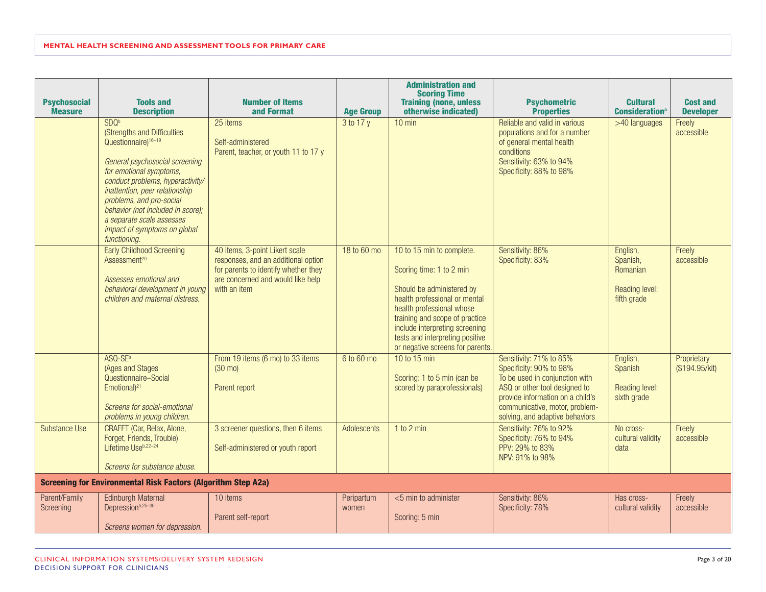| <b>Psychosocial</b><br><b>Measure</b> | <b>Tools and</b><br><b>Description</b>                                                                                                                                                                                                                                                                                                                              | <b>Number of Items</b><br>and Format                                                                                                                               | <b>Age Group</b>    | <b>Administration and</b><br><b>Scoring Time</b><br><b>Training (none, unless</b><br>otherwise indicated)                                                                                                                                                                                   | <b>Psychometric</b><br><b>Properties</b>                                                                                                                                                                                       | <b>Cultural</b><br><b>Consideration</b> <sup>a</sup>              | <b>Cost and</b><br><b>Developer</b> |
|---------------------------------------|---------------------------------------------------------------------------------------------------------------------------------------------------------------------------------------------------------------------------------------------------------------------------------------------------------------------------------------------------------------------|--------------------------------------------------------------------------------------------------------------------------------------------------------------------|---------------------|---------------------------------------------------------------------------------------------------------------------------------------------------------------------------------------------------------------------------------------------------------------------------------------------|--------------------------------------------------------------------------------------------------------------------------------------------------------------------------------------------------------------------------------|-------------------------------------------------------------------|-------------------------------------|
|                                       | SDQ <sup>b</sup><br>(Strengths and Difficulties<br>Questionnaire) <sup>16-19</sup><br>General psychosocial screening<br>for emotional symptoms,<br>conduct problems, hyperactivity/<br>inattention, peer relationship<br>problems, and pro-social<br>behavior (not included in score);<br>a separate scale assesses<br>impact of symptoms on global<br>functioning. | 25 items<br>Self-administered<br>Parent, teacher, or youth 11 to 17 y                                                                                              | 3 to 17 y           | $10$ min                                                                                                                                                                                                                                                                                    | Reliable and valid in various<br>populations and for a number<br>of general mental health<br>conditions<br>Sensitivity: 63% to 94%<br>Specificity: 88% to 98%                                                                  | >40 languages                                                     | Freely<br>accessible                |
|                                       | <b>Early Childhood Screening</b><br>Assessment <sup>20</sup><br>Assesses emotional and<br>behavioral development in young<br>children and maternal distress.                                                                                                                                                                                                        | 40 items, 3-point Likert scale<br>responses, and an additional option<br>for parents to identify whether they<br>are concerned and would like help<br>with an item | 18 to 60 mo         | 10 to 15 min to complete.<br>Scoring time: 1 to 2 min<br>Should be administered by<br>health professional or mental<br>health professional whose<br>training and scope of practice<br>include interpreting screening<br>tests and interpreting positive<br>or negative screens for parents. | Sensitivity: 86%<br>Specificity: 83%                                                                                                                                                                                           | English,<br>Spanish,<br>Romanian<br>Reading level:<br>fifth grade | Freely<br>accessible                |
|                                       | ASQ-SE <sup>b</sup><br>(Ages and Stages<br>Questionnaire-Social<br>Emotional) <sup>21</sup><br>Screens for social-emotional<br>problems in young children.                                                                                                                                                                                                          | From 19 items (6 mo) to 33 items<br>$(30 \text{ mo})$<br>Parent report                                                                                             | 6 to 60 mo          | 10 to 15 min<br>Scoring: 1 to 5 min (can be<br>scored by paraprofessionals)                                                                                                                                                                                                                 | Sensitivity: 71% to 85%<br>Specificity: 90% to 98%<br>To be used in conjunction with<br>ASQ or other tool designed to<br>provide information on a child's<br>communicative, motor, problem-<br>solving, and adaptive behaviors | English,<br>Spanish<br>Reading level:<br>sixth grade              | Proprietary<br>(\$194.95/kit)       |
| <b>Substance Use</b>                  | CRAFFT (Car, Relax, Alone,<br>Forget, Friends, Trouble)<br>Lifetime Useb,22-24<br>Screens for substance abuse.                                                                                                                                                                                                                                                      | 3 screener questions, then 6 items<br>Self-administered or youth report                                                                                            | Adolescents         | 1 to 2 min                                                                                                                                                                                                                                                                                  | Sensitivity: 76% to 92%<br>Specificity: 76% to 94%<br>PPV: 29% to 83%<br>NPV: 91% to 98%                                                                                                                                       | No cross-<br>cultural validity<br>data                            | Freely<br>accessible                |
|                                       | <b>Screening for Environmental Risk Factors (Algorithm Step A2a)</b>                                                                                                                                                                                                                                                                                                |                                                                                                                                                                    |                     |                                                                                                                                                                                                                                                                                             |                                                                                                                                                                                                                                |                                                                   |                                     |
| Parent/Family<br>Screening            | <b>Edinburgh Maternal</b><br>Depressionb, 25-30<br>Screens women for depression.                                                                                                                                                                                                                                                                                    | 10 items<br>Parent self-report                                                                                                                                     | Peripartum<br>women | $<$ 5 min to administer<br>Scoring: 5 min                                                                                                                                                                                                                                                   | Sensitivity: 86%<br>Specificity: 78%                                                                                                                                                                                           | Has cross-<br>cultural validity                                   | Freely<br>accessible                |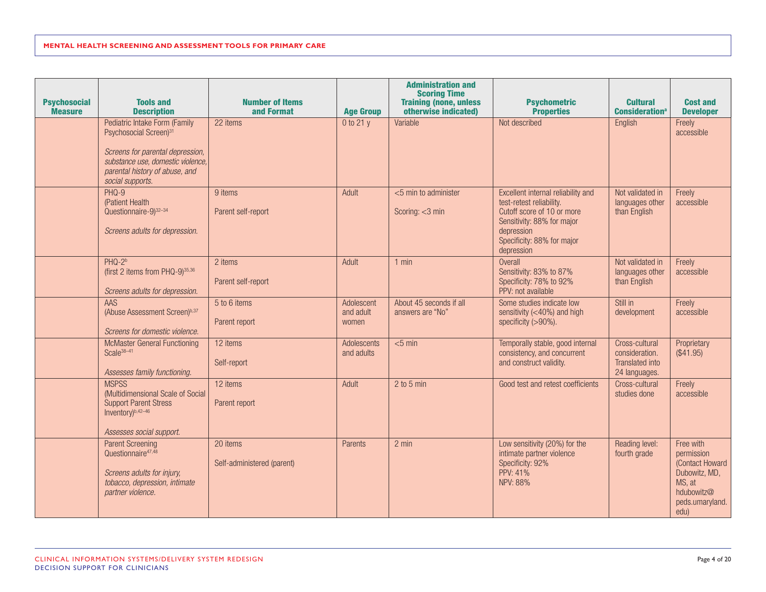| <b>Psychosocial</b><br><b>Measure</b> | <b>Tools and</b><br><b>Description</b>                                                                                                                                                             | <b>Number of Items</b><br>and Format   | <b>Age Group</b>                 | <b>Administration and</b><br><b>Scoring Time</b><br><b>Training (none, unless</b><br>otherwise indicated) | <b>Psychometric</b><br><b>Properties</b>                                                                                                                                             | <b>Cultural</b><br><b>Consideration</b> <sup>a</sup>                        | <b>Cost and</b><br><b>Developer</b>                                                                             |
|---------------------------------------|----------------------------------------------------------------------------------------------------------------------------------------------------------------------------------------------------|----------------------------------------|----------------------------------|-----------------------------------------------------------------------------------------------------------|--------------------------------------------------------------------------------------------------------------------------------------------------------------------------------------|-----------------------------------------------------------------------------|-----------------------------------------------------------------------------------------------------------------|
|                                       | Pediatric Intake Form (Family<br>Psychosocial Screen) <sup>31</sup><br>Screens for parental depression,<br>substance use, domestic violence,<br>parental history of abuse, and<br>social supports. | 22 items                               | 0 to 21 y                        | Variable                                                                                                  | Not described                                                                                                                                                                        | English                                                                     | Freely<br>accessible                                                                                            |
|                                       | PHQ-9<br>(Patient Health<br>Questionnaire-9)32-34<br>Screens adults for depression.                                                                                                                | 9 items<br>Parent self-report          | Adult                            | <5 min to administer<br>Scoring: <3 min                                                                   | Excellent internal reliability and<br>test-retest reliability.<br>Cutoff score of 10 or more<br>Sensitivity: 88% for major<br>depression<br>Specificity: 88% for major<br>depression | Not validated in<br>languages other<br>than English                         | Freely<br>accessible                                                                                            |
|                                       | $PHO-2b$<br>(first 2 items from PHQ-9)35,36<br>Screens adults for depression.                                                                                                                      | 2 items<br>Parent self-report          | Adult                            | $1$ min                                                                                                   | Overall<br>Sensitivity: 83% to 87%<br>Specificity: 78% to 92%<br>PPV: not available                                                                                                  | Not validated in<br>languages other<br>than English                         | Freely<br>accessible                                                                                            |
|                                       | AAS<br>(Abuse Assessment Screen)b,37<br>Screens for domestic violence.                                                                                                                             | 5 to 6 items<br>Parent report          | Adolescent<br>and adult<br>women | About 45 seconds if all<br>answers are "No"                                                               | Some studies indicate low<br>sensitivity (<40%) and high<br>specificity (>90%).                                                                                                      | Still in<br>development                                                     | Freely<br>accessible                                                                                            |
|                                       | <b>McMaster General Functioning</b><br>Scale $38-41$<br>Assesses family functioning.                                                                                                               | 12 items<br>Self-report                | Adolescents<br>and adults        | $<$ 5 min                                                                                                 | Temporally stable, good internal<br>consistency, and concurrent<br>and construct validity.                                                                                           | Cross-cultural<br>consideration.<br><b>Translated into</b><br>24 languages. | Proprietary<br>(\$41.95)                                                                                        |
|                                       | <b>MSPSS</b><br>(Multidimensional Scale of Social<br><b>Support Parent Stress</b><br>Inventory) <sup>b,42-46</sup><br>Assesses social support.                                                     | 12 items<br>Parent report              | Adult                            | $2$ to 5 min                                                                                              | Good test and retest coefficients                                                                                                                                                    | Cross-cultural<br>studies done                                              | Freely<br>accessible                                                                                            |
|                                       | <b>Parent Screening</b><br>Questionnaire <sup>47,48</sup><br>Screens adults for injury,<br>tobacco, depression, intimate<br>partner violence.                                                      | 20 items<br>Self-administered (parent) | Parents                          | 2 min                                                                                                     | Low sensitivity (20%) for the<br>intimate partner violence<br>Specificity: 92%<br>PPV: 41%<br><b>NPV: 88%</b>                                                                        | Reading level:<br>fourth grade                                              | Free with<br>permission<br>(Contact Howard)<br>Dubowitz, MD,<br>MS, at<br>hdubowitz@<br>peds.umaryland.<br>edu) |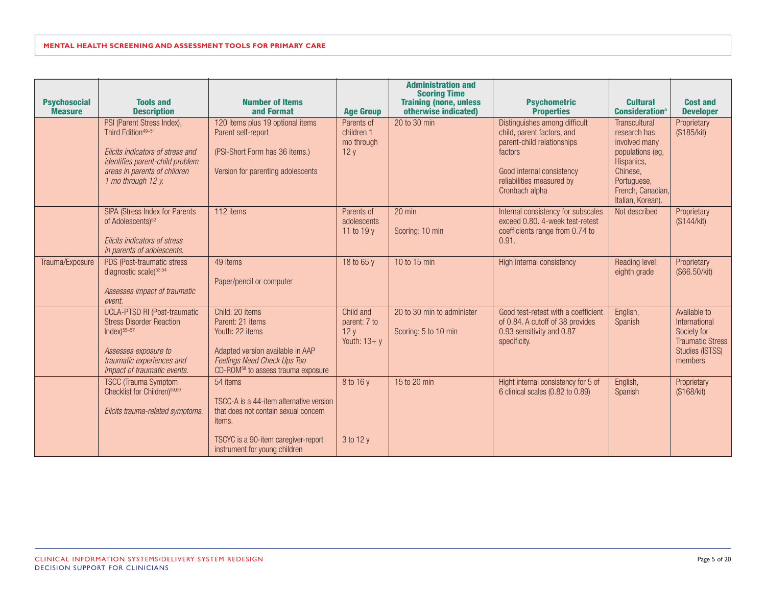| <b>Psychosocial</b><br><b>Measure</b> | <b>Tools and</b><br><b>Description</b>                                                                                                                                                    | <b>Number of Items</b><br>and Format                                                                                                                                        | <b>Age Group</b>                                    | <b>Administration and</b><br><b>Scoring Time</b><br><b>Training (none, unless</b><br>otherwise indicated) | <b>Psychometric</b><br><b>Properties</b>                                                                                                                                         | <b>Cultural</b><br><b>Consideration</b> <sup>a</sup>                                                                                                         | <b>Cost and</b><br><b>Developer</b>                                                                   |
|---------------------------------------|-------------------------------------------------------------------------------------------------------------------------------------------------------------------------------------------|-----------------------------------------------------------------------------------------------------------------------------------------------------------------------------|-----------------------------------------------------|-----------------------------------------------------------------------------------------------------------|----------------------------------------------------------------------------------------------------------------------------------------------------------------------------------|--------------------------------------------------------------------------------------------------------------------------------------------------------------|-------------------------------------------------------------------------------------------------------|
|                                       | PSI (Parent Stress Index),<br>Third Edition <sup>49-51</sup><br>Elicits indicators of stress and<br>identifies parent-child problem<br>areas in parents of children<br>1 mo through 12 y. | 120 items plus 19 optional items<br>Parent self-report<br>(PSI-Short Form has 36 items.)<br>Version for parenting adolescents                                               | Parents of<br>children 1<br>mo through<br>12y       | 20 to 30 min                                                                                              | Distinguishes among difficult<br>child, parent factors, and<br>parent-child relationships<br>factors<br>Good internal consistency<br>reliabilities measured by<br>Cronbach alpha | <b>Transcultural</b><br>research has<br>involved many<br>populations (eg,<br>Hispanics,<br>Chinese,<br>Portuguese,<br>French, Canadian,<br>Italian, Korean). | Proprietary<br>(\$185/kit)                                                                            |
|                                       | SIPA (Stress Index for Parents<br>of Adolescents) <sup>52</sup><br>Elicits indicators of stress<br>in parents of adolescents.                                                             | 112 items                                                                                                                                                                   | Parents of<br>adolescents<br>11 to 19 $v$           | 20 min<br>Scoring: 10 min                                                                                 | Internal consistency for subscales<br>exceed 0.80. 4-week test-retest<br>coefficients range from 0.74 to<br>0.91.                                                                | Not described                                                                                                                                                | Proprietary<br>(\$144/kit)                                                                            |
| Trauma/Exposure                       | PDS (Post-traumatic stress<br>diagnostic scale) <sup>53,54</sup><br>Assesses impact of traumatic<br>event.                                                                                | 49 items<br>Paper/pencil or computer                                                                                                                                        | 18 to 65 y                                          | 10 to 15 min                                                                                              | High internal consistency                                                                                                                                                        | Reading level:<br>eighth grade                                                                                                                               | Proprietary<br>(\$66.50/kit)                                                                          |
|                                       | <b>UCLA-PTSD RI (Post-traumatic</b><br><b>Stress Disorder Reaction</b><br>$Index)$ <sup>55-57</sup><br>Assesses exposure to<br>traumatic experiences and<br>impact of traumatic events.   | Child: 20 items<br>Parent: 21 items<br>Youth: 22 items<br>Adapted version available in AAP<br>Feelings Need Check Ups Too<br>CD-ROM <sup>58</sup> to assess trauma exposure | Child and<br>parent: 7 to<br>12y<br>Youth: $13 + y$ | 20 to 30 min to administer<br>Scoring: 5 to 10 min                                                        | Good test-retest with a coefficient<br>of 0.84. A cutoff of 38 provides<br>0.93 sensitivity and 0.87<br>specificity.                                                             | English,<br>Spanish                                                                                                                                          | Available to<br>International<br>Society for<br><b>Traumatic Stress</b><br>Studies (ISTSS)<br>members |
|                                       | <b>TSCC</b> (Trauma Symptom<br>Checklist for Children) <sup>59,60</sup><br>Elicits trauma-related symptoms.                                                                               | 54 items<br>TSCC-A is a 44-item alternative version<br>that does not contain sexual concern<br>items.                                                                       | 8 to 16 y                                           | 15 to 20 min                                                                                              | Hight internal consistency for 5 of<br>6 clinical scales (0.82 to 0.89)                                                                                                          | English,<br>Spanish                                                                                                                                          | Proprietary<br>(\$168/kit)                                                                            |
|                                       |                                                                                                                                                                                           | TSCYC is a 90-item caregiver-report<br>instrument for young children                                                                                                        | 3 to 12 y                                           |                                                                                                           |                                                                                                                                                                                  |                                                                                                                                                              |                                                                                                       |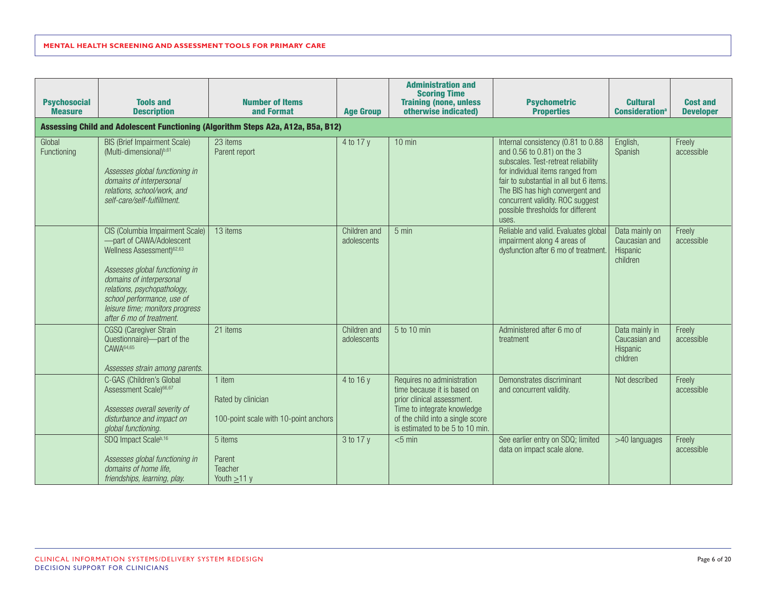| <b>Psychosocial</b><br><b>Measure</b> | <b>Tools and</b><br><b>Description</b>                                                                                                                                                                                                                                                         | <b>Number of Items</b><br>and Format                                             | <b>Age Group</b>            | <b>Administration and</b><br><b>Scoring Time</b><br><b>Training (none, unless</b><br>otherwise indicated)                                                                                     | <b>Psychometric</b><br><b>Properties</b>                                                                                                                                                                                                                                                                    | <b>Cultural</b><br><b>Consideration</b> <sup>a</sup>    | <b>Cost and</b><br><b>Developer</b> |
|---------------------------------------|------------------------------------------------------------------------------------------------------------------------------------------------------------------------------------------------------------------------------------------------------------------------------------------------|----------------------------------------------------------------------------------|-----------------------------|-----------------------------------------------------------------------------------------------------------------------------------------------------------------------------------------------|-------------------------------------------------------------------------------------------------------------------------------------------------------------------------------------------------------------------------------------------------------------------------------------------------------------|---------------------------------------------------------|-------------------------------------|
|                                       |                                                                                                                                                                                                                                                                                                | Assessing Child and Adolescent Functioning (Algorithm Steps A2a, A12a, B5a, B12) |                             |                                                                                                                                                                                               |                                                                                                                                                                                                                                                                                                             |                                                         |                                     |
| Global<br>Functioning                 | <b>BIS (Brief Impairment Scale)</b><br>(Multi-dimensional)b,61<br>Assesses global functioning in<br>domains of interpersonal<br>relations, school/work, and<br>self-care/self-fulfillment.                                                                                                     | 23 items<br>Parent report                                                        | 4 to 17 y                   | $10$ min                                                                                                                                                                                      | Internal consistency (0.81 to 0.88<br>and 0.56 to 0.81) on the 3<br>subscales. Test-retreat reliability<br>for individual items ranged from<br>fair to substantial in all but 6 items.<br>The BIS has high convergent and<br>concurrent validity. ROC suggest<br>possible thresholds for different<br>uses. | English,<br>Spanish                                     | Freely<br>accessible                |
|                                       | CIS (Columbia Impairment Scale)<br>-part of CAWA/Adolescent<br>Wellness Assessment) <sup>62,63</sup><br>Assesses global functioning in<br>domains of interpersonal<br>relations, psychopathology,<br>school performance, use of<br>leisure time; monitors progress<br>after 6 mo of treatment. | 13 items                                                                         | Children and<br>adolescents | $5 \text{ min}$                                                                                                                                                                               | Reliable and valid. Evaluates global<br>impairment along 4 areas of<br>dysfunction after 6 mo of treatment.                                                                                                                                                                                                 | Data mainly on<br>Caucasian and<br>Hispanic<br>children | Freely<br>accessible                |
|                                       | CGSQ (Caregiver Strain<br>Questionnaire)-part of the<br>CAWA <sup>64,65</sup><br>Assesses strain among parents.                                                                                                                                                                                | 21 items                                                                         | Children and<br>adolescents | 5 to 10 min                                                                                                                                                                                   | Administered after 6 mo of<br>treatment                                                                                                                                                                                                                                                                     | Data mainly in<br>Caucasian and<br>Hispanic<br>chldren  | Freely<br>accessible                |
|                                       | C-GAS (Children's Global<br>Assessment Scale) <sup>66,67</sup><br>Assesses overall severity of<br>disturbance and impact on<br>global functioning.                                                                                                                                             | 1 item<br>Rated by clinician<br>100-point scale with 10-point anchors            | 4 to 16 y                   | Requires no administration<br>time because it is based on<br>prior clinical assessment.<br>Time to integrate knowledge<br>of the child into a single score<br>is estimated to be 5 to 10 min. | Demonstrates discriminant<br>and concurrent validity.                                                                                                                                                                                                                                                       | Not described                                           | Freely<br>accessible                |
|                                       | SDQ Impact Scaleb, 16<br>Assesses global functioning in<br>domains of home life,<br>friendships, learning, play.                                                                                                                                                                               | 5 items<br>Parent<br>Teacher<br>Youth $\geq$ 11 y                                | 3 to 17 y                   | $<$ 5 min                                                                                                                                                                                     | See earlier entry on SDQ; limited<br>data on impact scale alone.                                                                                                                                                                                                                                            | >40 languages                                           | Freely<br>accessible                |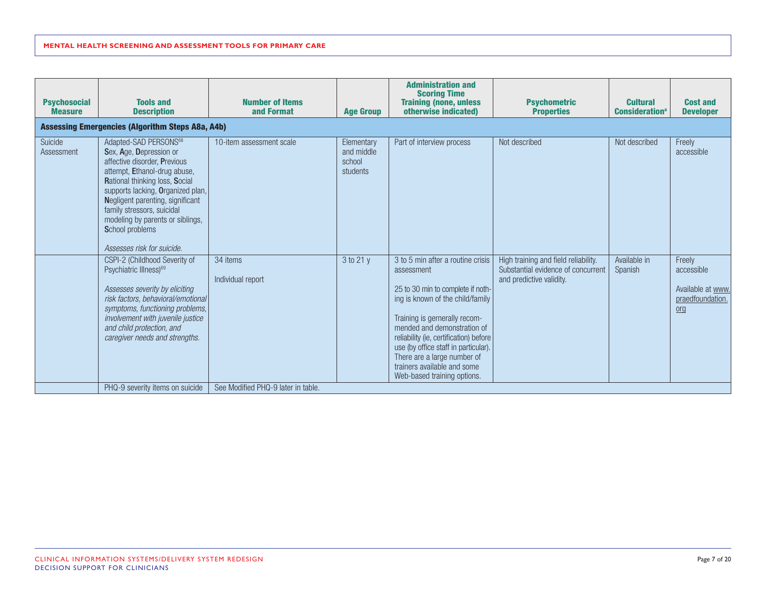| <b>Psychosocial</b><br><b>Measure</b> | <b>Tools and</b><br><b>Description</b>                                                                                                                                                                                                                                                                                                                     | <b>Number of Items</b><br>and Format | <b>Age Group</b>                               | <b>Administration and</b><br><b>Scoring Time</b><br><b>Training (none, unless</b><br>otherwise indicated)                                                                                                                                                                                                                                                               | <b>Psychometric</b><br><b>Properties</b>                                                               | <b>Cultural</b><br><b>Consideration</b> <sup>a</sup> | <b>Cost and</b><br><b>Developer</b>                                    |
|---------------------------------------|------------------------------------------------------------------------------------------------------------------------------------------------------------------------------------------------------------------------------------------------------------------------------------------------------------------------------------------------------------|--------------------------------------|------------------------------------------------|-------------------------------------------------------------------------------------------------------------------------------------------------------------------------------------------------------------------------------------------------------------------------------------------------------------------------------------------------------------------------|--------------------------------------------------------------------------------------------------------|------------------------------------------------------|------------------------------------------------------------------------|
|                                       | <b>Assessing Emergencies (Algorithm Steps A8a, A4b)</b>                                                                                                                                                                                                                                                                                                    |                                      |                                                |                                                                                                                                                                                                                                                                                                                                                                         |                                                                                                        |                                                      |                                                                        |
| Suicide<br>Assessment                 | Adapted-SAD PERSONS <sup>68</sup><br>Sex, Age, Depression or<br>affective disorder, Previous<br>attempt, Ethanol-drug abuse,<br>Rational thinking loss, Social<br>supports lacking, Organized plan,<br>Negligent parenting, significant<br>family stressors, suicidal<br>modeling by parents or siblings,<br>School problems<br>Assesses risk for suicide. | 10-item assessment scale             | Elementary<br>and middle<br>school<br>students | Part of interview process                                                                                                                                                                                                                                                                                                                                               | Not described                                                                                          | Not described                                        | Freely<br>accessible                                                   |
|                                       | CSPI-2 (Childhood Severity of<br>Psychiatric Illness) <sup>69</sup><br>Assesses severity by eliciting<br>risk factors, behavioral/emotional<br>symptoms, functioning problems,<br>involvement with juvenile justice<br>and child protection, and<br>caregiver needs and strengths.                                                                         | 34 items<br>Individual report        | 3 to 21 y                                      | 3 to 5 min after a routine crisis<br>assessment<br>25 to 30 min to complete if noth-<br>ing is known of the child/family<br>Training is gernerally recom-<br>mended and demonstration of<br>reliability (ie, certification) before<br>use (by office staff in particular).<br>There are a large number of<br>trainers available and some<br>Web-based training options. | High training and field reliability.<br>Substantial evidence of concurrent<br>and predictive validity. | Available in<br>Spanish                              | Freely<br>accessible<br>Available at www.<br>praedfoundation.<br>$org$ |
|                                       | PHQ-9 severity items on suicide                                                                                                                                                                                                                                                                                                                            | See Modified PHQ-9 later in table.   |                                                |                                                                                                                                                                                                                                                                                                                                                                         |                                                                                                        |                                                      |                                                                        |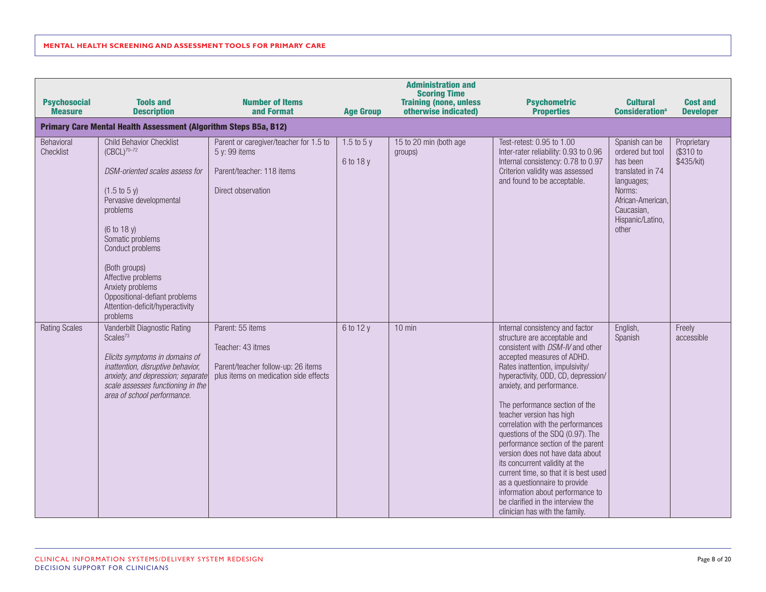|                                       |                                                                                                                                                                                                                                                                                                                                                            |                                                                                                                      |                            | <b>Administration and</b><br><b>Scoring Time</b>      |                                                                                                                                                                                                                                                                                                                                                                                                                                                                                                                                                                                                                                                                                 |                                                                                                                                                            |                                        |
|---------------------------------------|------------------------------------------------------------------------------------------------------------------------------------------------------------------------------------------------------------------------------------------------------------------------------------------------------------------------------------------------------------|----------------------------------------------------------------------------------------------------------------------|----------------------------|-------------------------------------------------------|---------------------------------------------------------------------------------------------------------------------------------------------------------------------------------------------------------------------------------------------------------------------------------------------------------------------------------------------------------------------------------------------------------------------------------------------------------------------------------------------------------------------------------------------------------------------------------------------------------------------------------------------------------------------------------|------------------------------------------------------------------------------------------------------------------------------------------------------------|----------------------------------------|
| <b>Psychosocial</b><br><b>Measure</b> | <b>Tools and</b><br><b>Description</b>                                                                                                                                                                                                                                                                                                                     | <b>Number of Items</b><br>and Format                                                                                 | <b>Age Group</b>           | <b>Training (none, unless</b><br>otherwise indicated) | <b>Psychometric</b><br><b>Properties</b>                                                                                                                                                                                                                                                                                                                                                                                                                                                                                                                                                                                                                                        | <b>Cultural</b><br><b>Consideration</b> <sup>a</sup>                                                                                                       | <b>Cost and</b><br><b>Developer</b>    |
|                                       | <b>Primary Care Mental Health Assessment (Algorithm Steps B5a, B12)</b>                                                                                                                                                                                                                                                                                    |                                                                                                                      |                            |                                                       |                                                                                                                                                                                                                                                                                                                                                                                                                                                                                                                                                                                                                                                                                 |                                                                                                                                                            |                                        |
| Behavioral<br>Checklist               | Child Behavior Checklist<br>$(CBCL)^{70-72}$<br>DSM-oriented scales assess for<br>$(1.5 \text{ to } 5 \text{ y})$<br>Pervasive developmental<br>problems<br>(6 to 18 y)<br>Somatic problems<br>Conduct problems<br>(Both groups)<br>Affective problems<br>Anxiety problems<br>Oppositional-defiant problems<br>Attention-deficit/hyperactivity<br>problems | Parent or caregiver/teacher for 1.5 to<br>5 y: 99 items<br>Parent/teacher: 118 items<br>Direct observation           | $1.5$ to $5y$<br>6 to 18 y | 15 to 20 min (both age<br>groups)                     | Test-retest: 0.95 to 1.00<br>Inter-rater reliability: 0.93 to 0.96<br>Internal consistency: 0.78 to 0.97<br>Criterion validity was assessed<br>and found to be acceptable.                                                                                                                                                                                                                                                                                                                                                                                                                                                                                                      | Spanish can be<br>ordered but tool<br>has been<br>translated in 74<br>languages;<br>Norms:<br>African-American,<br>Caucasian,<br>Hispanic/Latino,<br>other | Proprietary<br>(\$310 to<br>\$435/kit) |
| <b>Rating Scales</b>                  | Vanderbilt Diagnostic Rating<br>Scales <sup>73</sup><br>Elicits symptoms in domains of<br>inattention, disruptive behavior,<br>anxiety, and depression; separate<br>scale assesses functioning in the<br>area of school performance.                                                                                                                       | Parent: 55 items<br>Teacher: 43 itmes<br>Parent/teacher follow-up: 26 items<br>plus items on medication side effects | 6 to 12 y                  | $10$ min                                              | Internal consistency and factor<br>structure are acceptable and<br>consistent with DSM-IV and other<br>accepted measures of ADHD.<br>Rates inattention, impulsivity/<br>hyperactivity, ODD, CD, depression/<br>anxiety, and performance.<br>The performance section of the<br>teacher version has high<br>correlation with the performances<br>questions of the SDQ (0.97). The<br>performance section of the parent<br>version does not have data about<br>its concurrent validity at the<br>current time, so that it is best used<br>as a questionnaire to provide<br>information about performance to<br>be clarified in the interview the<br>clinician has with the family. | English,<br>Spanish                                                                                                                                        | Freely<br>accessible                   |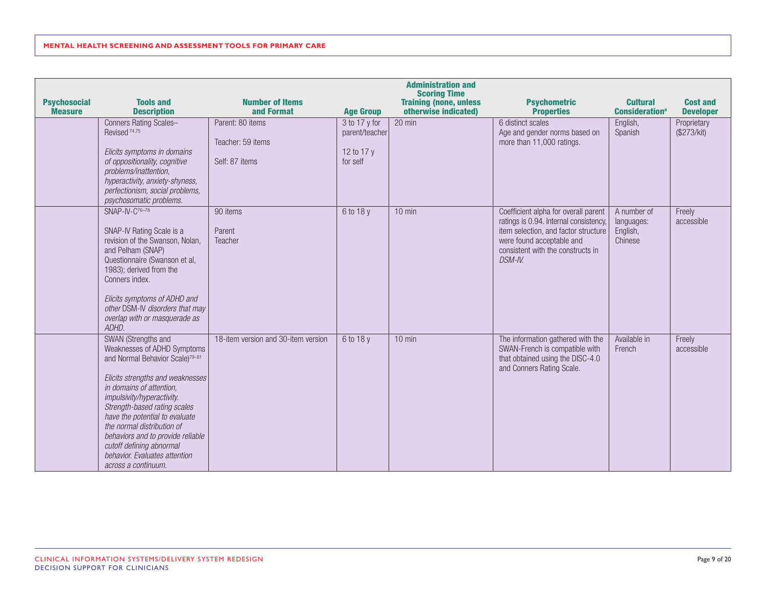|                                       |                                                                                                                                                                                                                                                                                                                                                                                                                          |                                                         |                                                           | <b>Administration and</b><br><b>Scoring Time</b>      |                                                                                                                                                                                                     |                                                      |                                     |
|---------------------------------------|--------------------------------------------------------------------------------------------------------------------------------------------------------------------------------------------------------------------------------------------------------------------------------------------------------------------------------------------------------------------------------------------------------------------------|---------------------------------------------------------|-----------------------------------------------------------|-------------------------------------------------------|-----------------------------------------------------------------------------------------------------------------------------------------------------------------------------------------------------|------------------------------------------------------|-------------------------------------|
| <b>Psychosocial</b><br><b>Measure</b> | <b>Tools and</b><br><b>Description</b>                                                                                                                                                                                                                                                                                                                                                                                   | <b>Number of Items</b><br>and Format                    | <b>Age Group</b>                                          | <b>Training (none, unless</b><br>otherwise indicated) | <b>Psychometric</b><br><b>Properties</b>                                                                                                                                                            | <b>Cultural</b><br><b>Consideration</b> <sup>a</sup> | <b>Cost and</b><br><b>Developer</b> |
|                                       | Conners Rating Scales-<br>Revised <sup>74,75</sup><br>Elicits symptoms in domains<br>of oppositionality, cognitive<br>problems/inattention,<br>hyperactivity, anxiety-shyness,<br>perfectionism, social problems,<br>psychosomatic problems.                                                                                                                                                                             | Parent: 80 items<br>Teacher: 59 items<br>Self: 87 items | 3 to 17 y for<br>parent/teacher<br>12 to 17 y<br>for self | 20 min                                                | 6 distinct scales<br>Age and gender norms based on<br>more than 11,000 ratings.                                                                                                                     | English,<br>Spanish                                  | Proprietary<br>(\$273/kit)          |
|                                       | $SNAP-IV-C76-78$<br>SNAP-IV Rating Scale is a<br>revision of the Swanson, Nolan,<br>and Pelham (SNAP)<br>Questionnaire (Swanson et al,<br>1983); derived from the<br>Conners index.<br>Elicits symptoms of ADHD and<br>other DSM-IV disorders that may<br>overlap with or masquerade as<br>ADHD.                                                                                                                         | 90 items<br>Parent<br>Teacher                           | 6 to 18 y                                                 | $10$ min                                              | Coefficient alpha for overall parent<br>ratings is 0.94. Internal consistency,<br>item selection, and factor structure<br>were found acceptable and<br>consistent with the constructs in<br>DSM-IV. | A number of<br>languages:<br>English,<br>Chinese     | Freely<br>accessible                |
|                                       | SWAN (Strengths and<br>Weaknesses of ADHD Symptoms<br>and Normal Behavior Scale) <sup>79-81</sup><br>Elicits strengths and weaknesses<br>in domains of attention,<br>impulsivity/hyperactivity.<br>Strength-based rating scales<br>have the potential to evaluate<br>the normal distribution of<br>behaviors and to provide reliable<br>cutoff defining abnormal<br>behavior. Evaluates attention<br>across a continuum. | 18-item version and 30-item version                     | 6 to 18 y                                                 | $10$ min                                              | The information gathered with the<br>SWAN-French is compatible with<br>that obtained using the DISC-4.0<br>and Conners Rating Scale.                                                                | Available in<br>French                               | Freely<br>accessible                |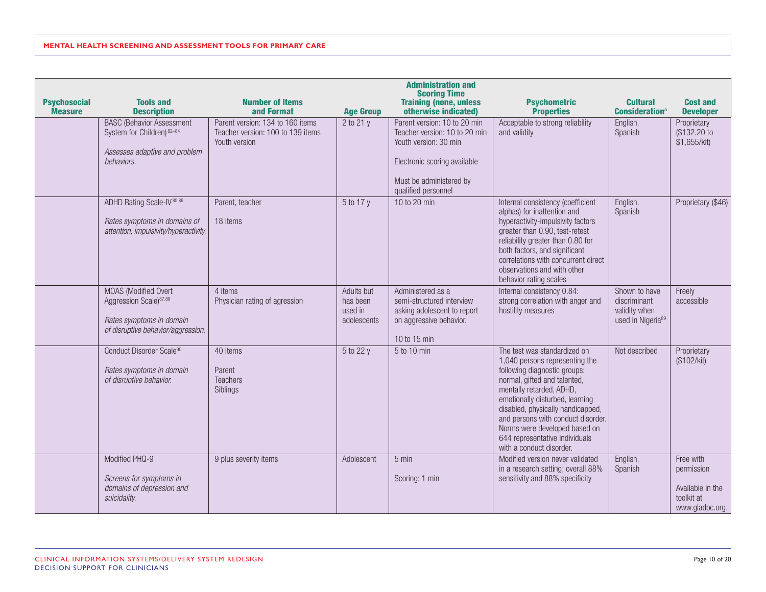| <b>Psychosocial</b><br><b>Measure</b> | <b>Tools and</b><br><b>Description</b>                                                                                       | <b>Number of Items</b><br>and Format                                                   | <b>Age Group</b>                                 | <b>Administration and</b><br><b>Scoring Time</b><br><b>Training (none, unless</b><br>otherwise indicated)                                                                | <b>Psychometric</b><br><b>Properties</b>                                                                                                                                                                                                                                                                                                                                | <b>Cultural</b><br><b>Consideration</b> <sup>a</sup>                            | <b>Cost and</b><br><b>Developer</b>                                          |
|---------------------------------------|------------------------------------------------------------------------------------------------------------------------------|----------------------------------------------------------------------------------------|--------------------------------------------------|--------------------------------------------------------------------------------------------------------------------------------------------------------------------------|-------------------------------------------------------------------------------------------------------------------------------------------------------------------------------------------------------------------------------------------------------------------------------------------------------------------------------------------------------------------------|---------------------------------------------------------------------------------|------------------------------------------------------------------------------|
|                                       | <b>BASC (Behavior Assessment</b><br>System for Children) 82-84<br>Assesses adaptive and problem<br>behaviors.                | Parent version: 134 to 160 items<br>Teacher version: 100 to 139 items<br>Youth version | 2 to 21 y                                        | Parent version: 10 to 20 min<br>Teacher version: 10 to 20 min<br>Youth version: 30 min<br>Electronic scoring available<br>Must be administered by<br>qualified personnel | Acceptable to strong reliability<br>and validity                                                                                                                                                                                                                                                                                                                        | English,<br>Spanish                                                             | Proprietary<br>(\$132.20 to<br>\$1,655/kit)                                  |
|                                       | ADHD Rating Scale-IV <sup>85,86</sup><br>Rates symptoms in domains of<br>attention, impulsivity/hyperactivity.               | Parent, teacher<br>18 items                                                            | 5 to 17 y                                        | 10 to 20 min                                                                                                                                                             | Internal consistency (coefficient<br>alphas) for inattention and<br>hyperactivity-impulsivity factors<br>greater than 0.90, test-retest<br>reliability greater than 0.80 for<br>both factors, and significant<br>correlations with concurrent direct<br>observations and with other<br>behavior rating scales                                                           | English,<br>Spanish                                                             | Proprietary (\$46)                                                           |
|                                       | MOAS (Modified Overt<br>Aggression Scale) <sup>87,88</sup><br>Rates symptoms in domain<br>of disruptive behavior/aggression. | 4 items<br>Physician rating of agression                                               | Adults but<br>has been<br>used in<br>adolescents | Administered as a<br>semi-structured interview<br>asking adolescent to report<br>on aggressive behavior.<br>10 to 15 min                                                 | Internal consistency 0.84:<br>strong correlation with anger and<br>hostility measures                                                                                                                                                                                                                                                                                   | Shown to have<br>discriminant<br>validity when<br>used in Nigeria <sup>89</sup> | Freely<br>accessible                                                         |
|                                       | Conduct Disorder Scale90<br>Rates symptoms in domain<br>of disruptive behavior.                                              | 40 items<br>Parent<br>Teachers<br>Siblings                                             | 5 to 22 y                                        | 5 to 10 min                                                                                                                                                              | The test was standardized on<br>1,040 persons representing the<br>following diagnostic groups:<br>normal, gifted and talented,<br>mentally retarded, ADHD,<br>emotionally disturbed, learning<br>disabled, physically handicapped,<br>and persons with conduct disorder.<br>Norms were developed based on<br>644 representative individuals<br>with a conduct disorder. | Not described                                                                   | Proprietary<br>(\$102/kit)                                                   |
|                                       | Modified PHQ-9<br>Screens for symptoms in<br>domains of depression and<br>suicidality.                                       | 9 plus severity items                                                                  | Adolescent                                       | $5 \text{ min}$<br>Scoring: 1 min                                                                                                                                        | Modified version never validated<br>in a research setting; overall 88%<br>sensitivity and 88% specificity                                                                                                                                                                                                                                                               | English,<br>Spanish                                                             | Free with<br>permission<br>Available in the<br>toolkit at<br>www.gladpc.org. |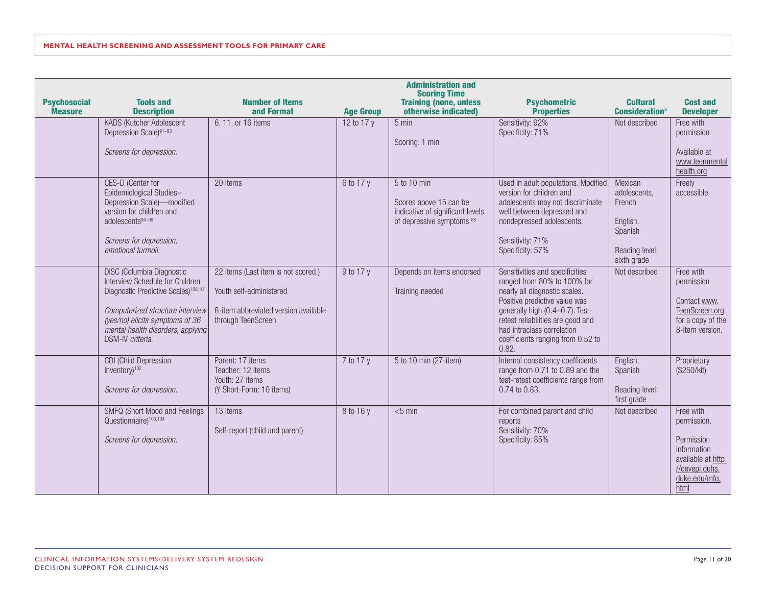|                                       |                                                                                                                                                                                                                                                         |                                                                                                                              |                  | <b>Administration and</b><br><b>Scoring Time</b>                                                                   |                                                                                                                                                                                                                                                                                      |                                                                                           |                                                                                                                        |
|---------------------------------------|---------------------------------------------------------------------------------------------------------------------------------------------------------------------------------------------------------------------------------------------------------|------------------------------------------------------------------------------------------------------------------------------|------------------|--------------------------------------------------------------------------------------------------------------------|--------------------------------------------------------------------------------------------------------------------------------------------------------------------------------------------------------------------------------------------------------------------------------------|-------------------------------------------------------------------------------------------|------------------------------------------------------------------------------------------------------------------------|
| <b>Psychosocial</b><br><b>Measure</b> | <b>Tools and</b><br><b>Description</b>                                                                                                                                                                                                                  | <b>Number of Items</b><br>and Format                                                                                         | <b>Age Group</b> | <b>Training (none, unless</b><br>otherwise indicated)                                                              | <b>Psychometric</b><br><b>Properties</b>                                                                                                                                                                                                                                             | <b>Cultural</b><br><b>Consideration</b> <sup>a</sup>                                      | <b>Cost and</b><br><b>Developer</b>                                                                                    |
|                                       | KADS (Kutcher Adolescent<br>Depression Scale)91-93<br>Screens for depression.                                                                                                                                                                           | 6, 11, or 16 items                                                                                                           | 12 to 17 y       | $5 \text{ min}$<br>Scoring: 1 min                                                                                  | Sensitivity: 92%<br>Specificity: 71%                                                                                                                                                                                                                                                 | Not described                                                                             | Free with<br>permission<br>Available at<br>www.teenmental<br>health.org                                                |
|                                       | CES-D (Center for<br>Epidemiological Studies-<br>Depression Scale)-modified<br>version for children and<br>adolescents94-99<br>Screens for depression,<br>emotional turmoil.                                                                            | 20 items                                                                                                                     | 6 to 17 y        | 5 to 10 min<br>Scores above 15 can be<br>indicative of significant levels<br>of depressive symptoms. <sup>88</sup> | Used in adult populations. Modified<br>version for children and<br>adolescents may not discriminate<br>well between depressed and<br>nondepressed adolescents.<br>Sensitivity: 71%<br>Specificity: 57%                                                                               | Mexican<br>adolescents,<br>French<br>English,<br>Spanish<br>Reading level:<br>sixth grade | Freely<br>accessible                                                                                                   |
|                                       | <b>DISC (Columbia Diagnostic</b><br>Interview Schedule for Children<br>Diagnostic Predictive Scales) <sup>100,101</sup><br>Computerized structure interview<br>(yes/no) elicits symptoms of 36<br>mental health disorders, applying<br>DSM-IV criteria. | 22 items (Last item is not scored.)<br>Youth self-administered<br>8-item abbreviated version available<br>through TeenScreen | 9 to 17 y        | Depends on items endorsed<br>Training needed                                                                       | Sensitivities and specificities<br>ranged from 80% to 100% for<br>nearly all diagnostic scales.<br>Positive predictive value was<br>generally high (0.4-0.7). Test-<br>retest reliabilities are good and<br>had intraclass correlation<br>coefficients ranging from 0.52 to<br>0.82. | Not described                                                                             | Free with<br>permission<br>Contact www.<br>TeenScreen.org<br>for a copy of the<br>8-item version.                      |
|                                       | CDI (Child Depression<br>Inventory) <sup>102</sup><br>Screens for depression.                                                                                                                                                                           | Parent: 17 items<br>Teacher: 12 items<br>Youth: 27 items<br>(Y Short-Form: 10 items)                                         | 7 to 17 y        | 5 to 10 min (27-item)                                                                                              | Internal consistency coefficients<br>range from 0.71 to 0.89 and the<br>test-retest coefficients range from<br>0.74 to 0.83.                                                                                                                                                         | English,<br>Spanish<br>Reading level:<br>first grade                                      | Proprietary<br>(\$250/kit)                                                                                             |
|                                       | <b>SMFQ (Short Mood and Feelings)</b><br>Questionnaire) <sup>103,104</sup><br>Screens for depression.                                                                                                                                                   | 13 items<br>Self-report (child and parent)                                                                                   | 8 to 16 y        | $<$ 5 min                                                                                                          | For combined parent and child<br>reports<br>Sensitivity: 70%<br>Specificity: 85%                                                                                                                                                                                                     | Not described                                                                             | Free with<br>permission.<br>Permission<br>information<br>available at http:<br>//devepi.duhs.<br>duke.edu/mfq.<br>html |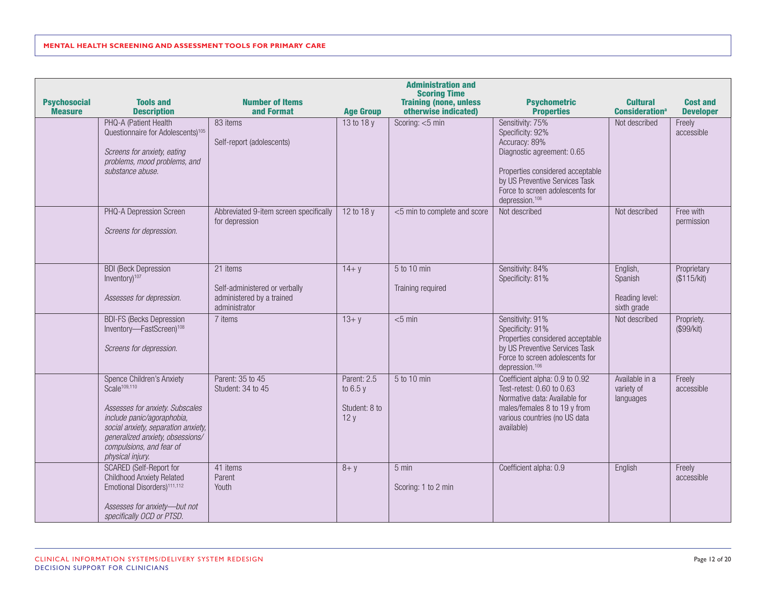| <b>Psychosocial</b> | <b>Tools and</b>                                                                                                                                                                                                                                  | <b>Number of Items</b>                                                                  |                                                  | <b>Administration and</b><br><b>Scoring Time</b><br><b>Training (none, unless</b> | <b>Psychometric</b>                                                                                                                                                                                                                             | <b>Cultural</b>                                      | <b>Cost and</b>                          |
|---------------------|---------------------------------------------------------------------------------------------------------------------------------------------------------------------------------------------------------------------------------------------------|-----------------------------------------------------------------------------------------|--------------------------------------------------|-----------------------------------------------------------------------------------|-------------------------------------------------------------------------------------------------------------------------------------------------------------------------------------------------------------------------------------------------|------------------------------------------------------|------------------------------------------|
| <b>Measure</b>      | <b>Description</b><br>PHQ-A (Patient Health<br>Questionnaire for Adolescents) <sup>105</sup><br>Screens for anxiety, eating<br>problems, mood problems, and<br>substance abuse.                                                                   | and Format<br>83 items<br>Self-report (adolescents)                                     | <b>Age Group</b><br>13 to 18 y                   | otherwise indicated)<br>Scoring: <5 min                                           | <b>Properties</b><br>Sensitivity: 75%<br>Specificity: 92%<br>Accuracy: 89%<br>Diagnostic agreement: 0.65<br>Properties considered acceptable<br>by US Preventive Services Task<br>Force to screen adolescents for<br>depression. <sup>106</sup> | <b>Consideration</b> <sup>a</sup><br>Not described   | <b>Developer</b><br>Freely<br>accessible |
|                     | PHQ-A Depression Screen<br>Screens for depression.                                                                                                                                                                                                | Abbreviated 9-item screen specifically<br>for depression                                | 12 to 18 y                                       | <5 min to complete and score                                                      | Not described                                                                                                                                                                                                                                   | Not described                                        | Free with<br>permission                  |
|                     | <b>BDI (Beck Depression</b><br>Inventory) <sup>107</sup><br>Assesses for depression.                                                                                                                                                              | 21 items<br>Self-administered or verbally<br>administered by a trained<br>administrator | $14 + y$                                         | 5 to 10 min<br>Training required                                                  | Sensitivity: 84%<br>Specificity: 81%                                                                                                                                                                                                            | English,<br>Spanish<br>Reading level:<br>sixth grade | Proprietary<br>(\$115/kit)               |
|                     | <b>BDI-FS (Becks Depression</b><br>Inventory-FastScreen) <sup>108</sup><br>Screens for depression.                                                                                                                                                | 7 items                                                                                 | $13 + y$                                         | $<$ 5 min                                                                         | Sensitivity: 91%<br>Specificity: 91%<br>Properties considered acceptable<br>by US Preventive Services Task<br>Force to screen adolescents for<br>depression. <sup>106</sup>                                                                     | Not described                                        | Propriety.<br>(\$99/kit)                 |
|                     | Spence Children's Anxiety<br>Scale <sup>109,110</sup><br>Assesses for anxiety. Subscales<br>include panic/agoraphobia,<br>social anxiety, separation anxiety,<br>generalized anxiety, obsessions/<br>compulsions, and fear of<br>physical injury. | Parent: 35 to 45<br>Student: 34 to 45                                                   | Parent: 2.5<br>to $6.5y$<br>Student: 8 to<br>12y | 5 to 10 min                                                                       | Coefficient alpha: 0.9 to 0.92<br>Test-retest: 0.60 to 0.63<br>Normative data: Available for<br>males/females 8 to 19 y from<br>various countries (no US data<br>available)                                                                     | Available in a<br>variety of<br>languages            | Freely<br>accessible                     |
|                     | <b>SCARED (Self-Report for</b><br><b>Childhood Anxiety Related</b><br>Emotional Disorders) <sup>111,112</sup><br>Assesses for anxiety-but not<br>specifically OCD or PTSD.                                                                        | 41 items<br>Parent<br>Youth                                                             | $8 + y$                                          | 5 min<br>Scoring: 1 to 2 min                                                      | Coefficient alpha: 0.9                                                                                                                                                                                                                          | English                                              | Freely<br>accessible                     |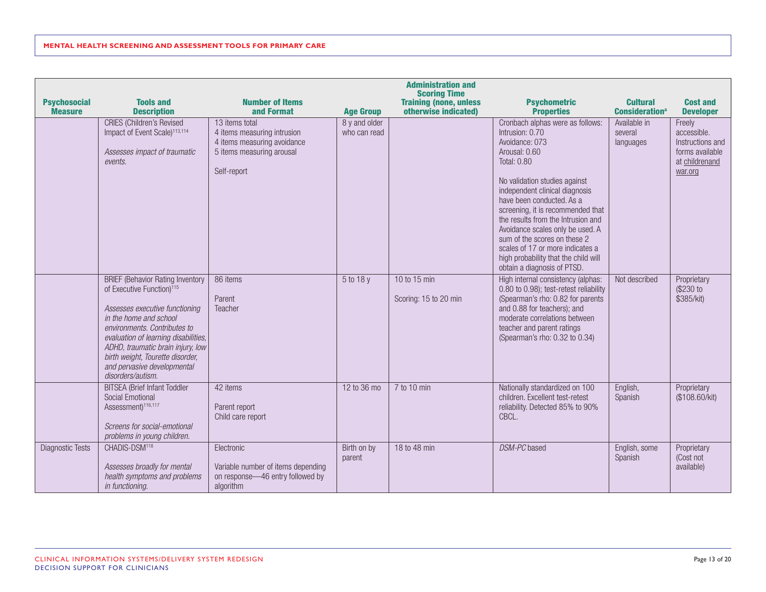| <b>Psychosocial</b><br><b>Measure</b> | <b>Tools and</b><br><b>Description</b>                                                                                                                                                                                                                                                                                                            | <b>Number of Items</b><br>and Format                                                                                     | <b>Age Group</b>              | <b>Administration and</b><br><b>Scoring Time</b><br><b>Training (none, unless</b><br>otherwise indicated) | <b>Psychometric</b><br><b>Properties</b>                                                                                                                                                                                                                                                                                                                                                                                                                               | <b>Cultural</b><br><b>Consideration</b> <sup>a</sup> | <b>Cost and</b><br><b>Developer</b>                                                       |
|---------------------------------------|---------------------------------------------------------------------------------------------------------------------------------------------------------------------------------------------------------------------------------------------------------------------------------------------------------------------------------------------------|--------------------------------------------------------------------------------------------------------------------------|-------------------------------|-----------------------------------------------------------------------------------------------------------|------------------------------------------------------------------------------------------------------------------------------------------------------------------------------------------------------------------------------------------------------------------------------------------------------------------------------------------------------------------------------------------------------------------------------------------------------------------------|------------------------------------------------------|-------------------------------------------------------------------------------------------|
|                                       | <b>CRIES</b> (Children's Revised<br>Impact of Event Scale) <sup>113,114</sup><br>Assesses impact of traumatic<br>events.                                                                                                                                                                                                                          | 13 items total<br>4 items measuring intrusion<br>4 items measuring avoidance<br>5 items measuring arousal<br>Self-report | 8 y and older<br>who can read |                                                                                                           | Cronbach alphas were as follows:<br>Intrusion: 0.70<br>Avoidance: 073<br>Arousal: 0.60<br><b>Total: 0.80</b><br>No validation studies against<br>independent clinical diagnosis<br>have been conducted. As a<br>screening, it is recommended that<br>the results from the Intrusion and<br>Avoidance scales only be used. A<br>sum of the scores on these 2<br>scales of 17 or more indicates a<br>high probability that the child will<br>obtain a diagnosis of PTSD. | Available in<br>several<br>languages                 | Freely<br>accessible.<br>Instructions and<br>forms available<br>at childrenand<br>war.org |
|                                       | <b>BRIEF (Behavior Rating Inventory</b><br>of Executive Function) <sup>115</sup><br>Assesses executive functioning<br>in the home and school<br>environments. Contributes to<br>evaluation of learning disabilities,<br>ADHD, traumatic brain injury, low<br>birth weight, Tourette disorder,<br>and pervasive developmental<br>disorders/autism. | 86 items<br>Parent<br>Teacher                                                                                            | 5 to 18 y                     | 10 to 15 min<br>Scoring: 15 to 20 min                                                                     | High internal consistency (alphas:<br>0.80 to 0.98); test-retest reliability<br>(Spearman's rho: 0.82 for parents<br>and 0.88 for teachers); and<br>moderate correlations between<br>teacher and parent ratings<br>(Spearman's rho: 0.32 to 0.34)                                                                                                                                                                                                                      | Not described                                        | Proprietary<br>(\$230 to<br>\$385/kit)                                                    |
|                                       | <b>BITSEA</b> (Brief Infant Toddler<br>Social Emotional<br>Assessment) <sup>116,117</sup><br>Screens for social-emotional<br>problems in young children.                                                                                                                                                                                          | 42 items<br>Parent report<br>Child care report                                                                           | 12 to 36 mo                   | 7 to 10 min                                                                                               | Nationally standardized on 100<br>children. Excellent test-retest<br>reliability. Detected 85% to 90%<br>CBCL.                                                                                                                                                                                                                                                                                                                                                         | English,<br>Spanish                                  | Proprietary<br>(\$108.60/kit)                                                             |
| <b>Diagnostic Tests</b>               | CHADIS-DSM <sup>118</sup><br>Assesses broadly for mental<br>health symptoms and problems<br>in functioning.                                                                                                                                                                                                                                       | Electronic<br>Variable number of items depending<br>on response-46 entry followed by<br>algorithm                        | Birth on by<br>parent         | 18 to 48 min                                                                                              | DSM-PC based                                                                                                                                                                                                                                                                                                                                                                                                                                                           | English, some<br>Spanish                             | Proprietary<br>(Cost not<br>available)                                                    |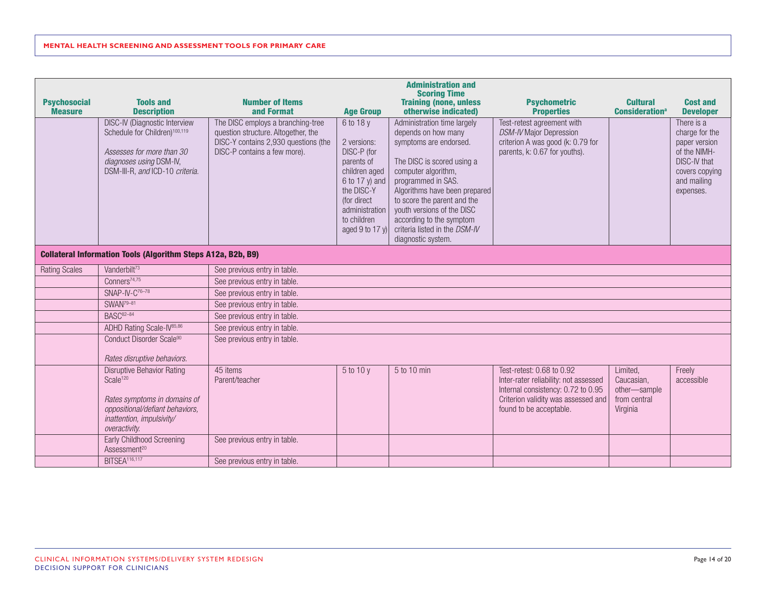|                                                                     |                                                                                                                                                                            |                                                                                                                                                  |                                                                                                                                                                              | <b>Administration and</b><br><b>Scoring Time</b>                                                                                                                                                                                                                                                                                         |                                                                                                                                                                            |                                                                    |                                                                                                                                    |  |  |  |
|---------------------------------------------------------------------|----------------------------------------------------------------------------------------------------------------------------------------------------------------------------|--------------------------------------------------------------------------------------------------------------------------------------------------|------------------------------------------------------------------------------------------------------------------------------------------------------------------------------|------------------------------------------------------------------------------------------------------------------------------------------------------------------------------------------------------------------------------------------------------------------------------------------------------------------------------------------|----------------------------------------------------------------------------------------------------------------------------------------------------------------------------|--------------------------------------------------------------------|------------------------------------------------------------------------------------------------------------------------------------|--|--|--|
| <b>Psychosocial</b><br><b>Measure</b>                               | <b>Tools and</b><br><b>Description</b>                                                                                                                                     | <b>Number of Items</b><br>and Format                                                                                                             | <b>Age Group</b>                                                                                                                                                             | <b>Training (none, unless</b><br>otherwise indicated)                                                                                                                                                                                                                                                                                    | <b>Psychometric</b><br><b>Properties</b>                                                                                                                                   | <b>Cultural</b><br><b>Consideration</b> <sup>a</sup>               | <b>Cost and</b><br><b>Developer</b>                                                                                                |  |  |  |
|                                                                     | DISC-IV (Diagnostic Interview<br>Schedule for Children) <sup>100,119</sup><br>Assesses for more than 30<br>diagnoses using DSM-IV,<br>DSM-III-R, and ICD-10 criteria.      | The DISC employs a branching-tree<br>question structure. Altogether, the<br>DISC-Y contains 2,930 questions (the<br>DISC-P contains a few more). | 6 to 18 y<br>2 versions:<br>DISC-P (for<br>parents of<br>children aged<br>6 to 17 y) and<br>the DISC-Y<br>(for direct<br>administration<br>to children<br>aged 9 to 17 $y$ ) | Administration time largely<br>depends on how many<br>symptoms are endorsed.<br>The DISC is scored using a<br>computer algorithm,<br>programmed in SAS.<br>Algorithms have been prepared<br>to score the parent and the<br>youth versions of the DISC<br>according to the symptom<br>criteria listed in the DSM-IV<br>diagnostic system. | Test-retest agreement with<br>DSM-IV Major Depression<br>criterion A was good (k: 0.79 for<br>parents, k: 0.67 for youths).                                                |                                                                    | There is a<br>charge for the<br>paper version<br>of the NIMH-<br><b>DISC-IV that</b><br>covers copying<br>and mailing<br>expenses. |  |  |  |
| <b>Collateral Information Tools (Algorithm Steps A12a, B2b, B9)</b> |                                                                                                                                                                            |                                                                                                                                                  |                                                                                                                                                                              |                                                                                                                                                                                                                                                                                                                                          |                                                                                                                                                                            |                                                                    |                                                                                                                                    |  |  |  |
| <b>Rating Scales</b>                                                | Vanderbilt <sup>73</sup>                                                                                                                                                   | See previous entry in table.                                                                                                                     |                                                                                                                                                                              |                                                                                                                                                                                                                                                                                                                                          |                                                                                                                                                                            |                                                                    |                                                                                                                                    |  |  |  |
|                                                                     | Conners <sup>74,75</sup>                                                                                                                                                   | See previous entry in table.                                                                                                                     |                                                                                                                                                                              |                                                                                                                                                                                                                                                                                                                                          |                                                                                                                                                                            |                                                                    |                                                                                                                                    |  |  |  |
|                                                                     | SNAP-IV-C <sup>76-78</sup>                                                                                                                                                 | See previous entry in table.                                                                                                                     |                                                                                                                                                                              |                                                                                                                                                                                                                                                                                                                                          |                                                                                                                                                                            |                                                                    |                                                                                                                                    |  |  |  |
|                                                                     | SWAN <sup>79-81</sup>                                                                                                                                                      | See previous entry in table.                                                                                                                     |                                                                                                                                                                              |                                                                                                                                                                                                                                                                                                                                          |                                                                                                                                                                            |                                                                    |                                                                                                                                    |  |  |  |
|                                                                     | BASC <sup>82-84</sup>                                                                                                                                                      | See previous entry in table.                                                                                                                     |                                                                                                                                                                              |                                                                                                                                                                                                                                                                                                                                          |                                                                                                                                                                            |                                                                    |                                                                                                                                    |  |  |  |
|                                                                     | ADHD Rating Scale-IV <sup>85,86</sup>                                                                                                                                      | See previous entry in table.                                                                                                                     |                                                                                                                                                                              |                                                                                                                                                                                                                                                                                                                                          |                                                                                                                                                                            |                                                                    |                                                                                                                                    |  |  |  |
|                                                                     | Conduct Disorder Scale90<br>Rates disruptive behaviors.                                                                                                                    | See previous entry in table.                                                                                                                     |                                                                                                                                                                              |                                                                                                                                                                                                                                                                                                                                          |                                                                                                                                                                            |                                                                    |                                                                                                                                    |  |  |  |
|                                                                     | <b>Disruptive Behavior Rating</b><br>Scale <sup>120</sup><br>Rates symptoms in domains of<br>oppositional/defiant behaviors,<br>inattention, impulsivity/<br>overactivity. | 45 items<br>Parent/teacher                                                                                                                       | $5$ to 10 y                                                                                                                                                                  | 5 to 10 min                                                                                                                                                                                                                                                                                                                              | Test-retest: 0.68 to 0.92<br>Inter-rater reliability: not assessed<br>Internal consistency: 0.72 to 0.95<br>Criterion validity was assessed and<br>found to be acceptable. | Limited,<br>Caucasian.<br>other-sample<br>from central<br>Virginia | Freely<br>accessible                                                                                                               |  |  |  |
|                                                                     | Early Childhood Screening<br>Assessment <sup>20</sup>                                                                                                                      | See previous entry in table.                                                                                                                     |                                                                                                                                                                              |                                                                                                                                                                                                                                                                                                                                          |                                                                                                                                                                            |                                                                    |                                                                                                                                    |  |  |  |
|                                                                     | <b>BITSEA</b> <sup>116,117</sup>                                                                                                                                           | See previous entry in table.                                                                                                                     |                                                                                                                                                                              |                                                                                                                                                                                                                                                                                                                                          |                                                                                                                                                                            |                                                                    |                                                                                                                                    |  |  |  |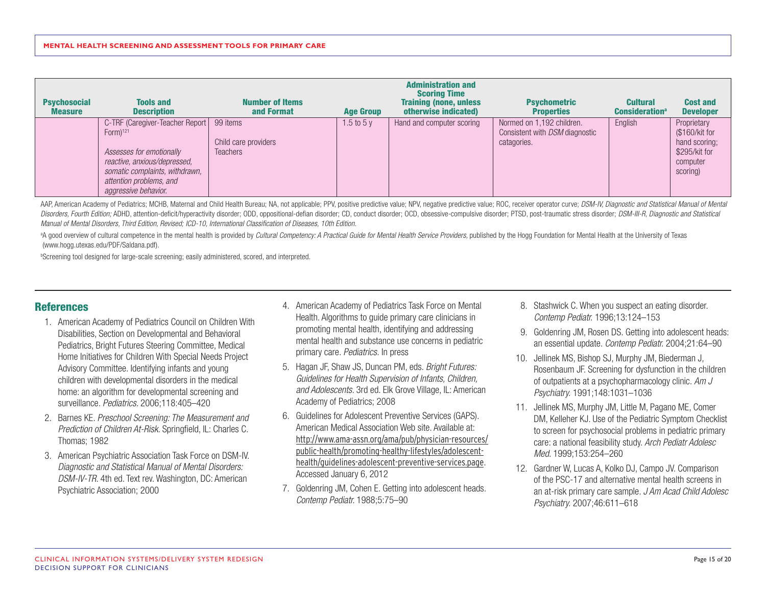| <b>Psychosocial</b><br><b>Measure</b> | <b>Tools and</b><br><b>Description</b>                                                                                                                                                                               | <b>Number of Items</b><br>and Format    | <b>Age Group</b> | <b>Administration and</b><br><b>Scoring Time</b><br><b>Training (none, unless</b><br>otherwise indicated) | <b>Psychometric</b><br><b>Properties</b>                                          | <b>Cultural</b><br><b>Consideration</b> <sup>a</sup> | <b>Cost and</b><br><b>Developer</b>                                                     |
|---------------------------------------|----------------------------------------------------------------------------------------------------------------------------------------------------------------------------------------------------------------------|-----------------------------------------|------------------|-----------------------------------------------------------------------------------------------------------|-----------------------------------------------------------------------------------|------------------------------------------------------|-----------------------------------------------------------------------------------------|
|                                       | C-TRF (Caregiver-Teacher Report   99 items<br>$Form$ <sup>121</sup><br>Assesses for emotionally<br>reactive, anxious/depressed,<br>somatic complaints, withdrawn,<br>attention problems, and<br>aggressive behavior. | Child care providers<br><b>Teachers</b> | 1.5 to 5 $y$     | Hand and computer scoring                                                                                 | Normed on 1,192 children.<br>Consistent with <i>DSM</i> diagnostic<br>catagories. | English                                              | Proprietary<br>(\$160/kit for<br>hand scoring;<br>\$295/kit for<br>computer<br>scoring) |

AAP, American Academy of Pediatrics; MCHB, Maternal and Child Health Bureau; NA, not applicable; PPV, positive predictive value; NPV, negative predictive value; ROC, receiver operator curve; DSM-IV, Diagnostic and Statisti Disorders, Fourth Edition; ADHD, attention-deficit/hyperactivity disorder; ODD, oppositional-defian disorder; CD, conduct disorder; OCD, obsessive-compulsive disorder; PTSD, post-traumatic stress disorder; DSM-III-R, Diagn *Manual of Mental Disorders, Third Edition, Revised; ICD-10, International Classification of Diseases, 10th Edition.*

<sup>a</sup>A good overview of cultural competence in the mental health is provided by *Cultural Competency: A Practical Guide for Mental Health Service Providers*, published by the Hogg Foundation for Mental Health at the Universi (www.hogg.utexas.edu/PDF/Saldana.pdf).

<sup>b</sup>Screening tool designed for large-scale screening; easily administered, scored, and interpreted.

## **References**

- 1. American Academy of Pediatrics Council on Children With Disabilities, Section on Developmental and Behavioral Pediatrics, Bright Futures Steering Committee, Medical Home Initiatives for Children With Special Needs Project Advisory Committee. Identifying infants and young children with developmental disorders in the medical home: an algorithm for developmental screening and surveillance. *Pediatrics.* 2006;118:405–420
- 2. Barnes KE. *Preschool Screening: The Measurement and Prediction of Children At-Risk.* Springfield, IL: Charles C. Thomas; 1982
- 3. American Psychiatric Association Task Force on DSM-IV. *Diagnostic and Statistical Manual of Mental Disorders: DSM-IV-TR.* 4th ed. Text rev. Washington, DC: American Psychiatric Association; 2000
- 4. American Academy of Pediatrics Task Force on Mental Health. Algorithms to guide primary care clinicians in promoting mental health, identifying and addressing mental health and substance use concerns in pediatric primary care. *Pediatrics.* In press
- 5. Hagan JF, Shaw JS, Duncan PM, eds. *Bright Futures: Guidelines for Health Supervision of Infants, Children, and Adolescents.* 3rd ed. Elk Grove Village, IL: American Academy of Pediatrics; 2008
- 6. Guidelines for Adolescent Preventive Services (GAPS). American Medical Association Web site. Available at: [http://www.ama-assn.org/ama/pub/physician-resources/](http://www.ama-assn.org/ama/pub/physician-resources/public-health/promoting-healthy-lifestyles/adolescent-health/guidelines-adolescent-preventive-services.page) [public-health/promoting-healthy-lifestyles/adolescent](http://www.ama-assn.org/ama/pub/physician-resources/public-health/promoting-healthy-lifestyles/adolescent-health/guidelines-adolescent-preventive-services.page)[health/guidelines-adolescent-preventive-services.page](http://www.ama-assn.org/ama/pub/physician-resources/public-health/promoting-healthy-lifestyles/adolescent-health/guidelines-adolescent-preventive-services.page). Accessed January 6, 2012
- 7. Goldenring JM, Cohen E. Getting into adolescent heads. *Contemp Pediatr.* 1988;5:75–90
- 8. Stashwick C. When you suspect an eating disorder. *Contemp Pediatr.* 1996;13:124–153
- 9. Goldenring JM, Rosen DS. Getting into adolescent heads: an essential update. *Contemp Pediatr.* 2004;21:64–90
- 10. Jellinek MS, Bishop SJ, Murphy JM, Biederman J, Rosenbaum JF. Screening for dysfunction in the children of outpatients at a psychopharmacology clinic. *Am J Psychiatry.* 1991;148:1031–1036
- 11. Jellinek MS, Murphy JM, Little M, Pagano ME, Comer DM, Kelleher KJ. Use of the Pediatric Symptom Checklist to screen for psychosocial problems in pediatric primary care: a national feasibility study. *Arch Pediatr Adolesc Med.* 1999;153:254–260
- 12. Gardner W, Lucas A, Kolko DJ, Campo JV. Comparison of the PSC-17 and alternative mental health screens in an at-risk primary care sample. *J Am Acad Child Adolesc Psychiatry.* 2007;46:611–618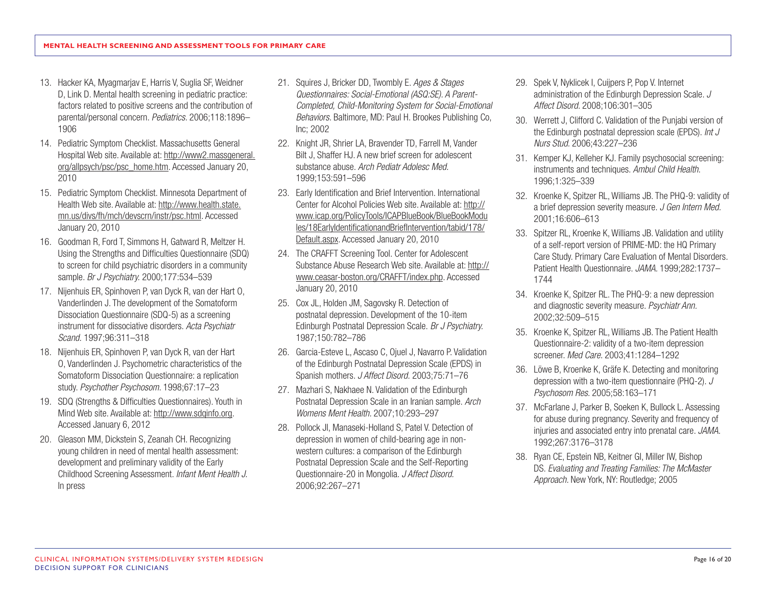- 13. Hacker KA, Myagmarjav E, Harris V, Suglia SF, Weidner D, Link D. Mental health screening in pediatric practice: factors related to positive screens and the contribution of parental/personal concern. *Pediatrics.* 2006;118:1896– 1906
- 14. Pediatric Symptom Checklist. Massachusetts General Hospital Web site. Available at: [http://www2.massgeneral.](http://www2.massgeneral.org/allpsych/psc/psc_home.htm) [org/allpsych/psc/psc\\_home.htm](http://www2.massgeneral.org/allpsych/psc/psc_home.htm). Accessed January 20, 2010
- 15. Pediatric Symptom Checklist. Minnesota Department of Health Web site. Available at: [http://www.health.state.](http://www.health.state.mn.us/divs/fh/mch/devscrn/instr/psc.html) [mn.us/divs/fh/mch/devscrn/instr/psc.html](http://www.health.state.mn.us/divs/fh/mch/devscrn/instr/psc.html). Accessed January 20, 2010
- 16. Goodman R, Ford T, Simmons H, Gatward R, Meltzer H. Using the Strengths and Difficulties Questionnaire (SDQ) to screen for child psychiatric disorders in a community sample. *Br J Psychiatry.* 2000;177:534–539
- 17. Nijenhuis ER, Spinhoven P, van Dyck R, van der Hart O, Vanderlinden J. The development of the Somatoform Dissociation Questionnaire (SDQ-5) as a screening instrument for dissociative disorders. *Acta Psychiatr Scand.* 1997;96:311–318
- 18. Nijenhuis ER, Spinhoven P, van Dyck R, van der Hart O, Vanderlinden J. Psychometric characteristics of the Somatoform Dissociation Questionnaire: a replication study. *Psychother Psychosom.* 1998;67:17–23
- 19. SDQ (Strengths & Difficulties Questionnaires). Youth in Mind Web site. Available at:<http://www.sdqinfo.org>. Accessed January 6, 2012
- 20. Gleason MM, Dickstein S, Zeanah CH. Recognizing young children in need of mental health assessment: development and preliminary validity of the Early Childhood Screening Assessment. *Infant Ment Health J.*  In press
- 21. Squires J, Bricker DD, Twombly E. *Ages & Stages Questionnaires: Social-Emotional (ASQ:SE). A Parent-Completed, Child-Monitoring System for Social-Emotional Behaviors.* Baltimore, MD: Paul H. Brookes Publishing Co, Inc; 2002
- 22. Knight JR, Shrier LA, Bravender TD, Farrell M, Vander Bilt J, Shaffer HJ. A new brief screen for adolescent substance abuse. *Arch Pediatr Adolesc Med.* 1999;153:591–596
- 23. Early Identification and Brief Intervention. International Center for Alcohol Policies Web site. Available at: [http://](http://www.icap.org/PolicyTools/ICAPBlueBook/BlueBookModules/18EarlyIdentificationandBriefIntervention/tabid/178/Default.aspx) [www.icap.org/PolicyTools/ICAPBlueBook/BlueBookModu](http://www.icap.org/PolicyTools/ICAPBlueBook/BlueBookModules/18EarlyIdentificationandBriefIntervention/tabid/178/Default.aspx) [les/18EarlyIdentificationandBriefIntervention/tabid/178/](http://www.icap.org/PolicyTools/ICAPBlueBook/BlueBookModules/18EarlyIdentificationandBriefIntervention/tabid/178/Default.aspx) [Default.aspx.](http://www.icap.org/PolicyTools/ICAPBlueBook/BlueBookModules/18EarlyIdentificationandBriefIntervention/tabid/178/Default.aspx) Accessed January 20, 2010
- 24. The CRAFFT Screening Tool. Center for Adolescent Substance Abuse Research Web site. Available at: [http://](http://www.ceasar-boston.org/CRAFFT/index.php) [www.ceasar-boston.org/CRAFFT/index.php.](http://www.ceasar-boston.org/CRAFFT/index.php) Accessed January 20, 2010
- 25. Cox JL, Holden JM, Sagovsky R. Detection of postnatal depression. Development of the 10-item Edinburgh Postnatal Depression Scale. *Br J Psychiatry.* 1987;150:782–786
- 26. Garcia-Esteve L, Ascaso C, Ojuel J, Navarro P. Validation of the Edinburgh Postnatal Depression Scale (EPDS) in Spanish mothers. *J Affect Disord.* 2003;75:71–76
- 27. Mazhari S, Nakhaee N. Validation of the Edinburgh Postnatal Depression Scale in an Iranian sample. *Arch Womens Ment Health.* 2007;10:293–297
- 28. Pollock JI, Manaseki-Holland S, Patel V. Detection of depression in women of child-bearing age in nonwestern cultures: a comparison of the Edinburgh Postnatal Depression Scale and the Self-Reporting Questionnaire-20 in Mongolia. *J Affect Disord.*  2006;92:267–271
- 29. Spek V, Nyklicek I, Cuijpers P, Pop V. Internet administration of the Edinburgh Depression Scale. *J Affect Disord.* 2008;106:301–305
- 30. Werrett J, Clifford C. Validation of the Punjabi version of the Edinburgh postnatal depression scale (EPDS). *Int J Nurs Stud.* 2006;43:227–236
- 31. Kemper KJ, Kelleher KJ. Family psychosocial screening: instruments and techniques. *Ambul Child Health*. 1996;1:325–339
- 32. Kroenke K, Spitzer RL, Williams JB. The PHQ-9: validity of a brief depression severity measure. *J Gen Intern Med.*  2001;16:606–613
- 33. Spitzer RL, Kroenke K, Williams JB. Validation and utility of a self-report version of PRIME-MD: the HQ Primary Care Study. Primary Care Evaluation of Mental Disorders. Patient Health Questionnaire. *JAMA.* 1999;282:1737– 1744
- 34. Kroenke K, Spitzer RL. The PHQ-9: a new depression and diagnostic severity measure. *Psychiatr Ann.*  2002;32:509–515
- 35. Kroenke K, Spitzer RL, Williams JB. The Patient Health Questionnaire-2: validity of a two-item depression screener. *Med Care.* 2003;41:1284–1292
- 36. Löwe B, Kroenke K, Gräfe K. Detecting and monitoring depression with a two-item questionnaire (PHQ-2). *J Psychosom Res.* 2005;58:163–171
- 37. McFarlane J, Parker B, Soeken K, Bullock L. Assessing for abuse during pregnancy. Severity and frequency of injuries and associated entry into prenatal care. *JAMA.*  1992;267:3176–3178
- 38. Ryan CE, Epstein NB, Keitner GI, Miller IW, Bishop DS. *Evaluating and Treating Families: The McMaster Approach.* New York, NY: Routledge; 2005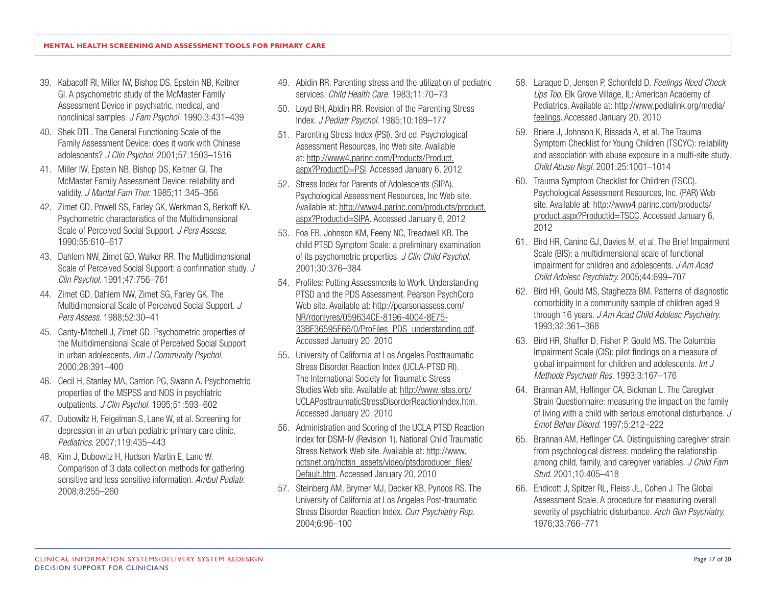- 39. Kabacoff RI, Miller IW, Bishop DS, Epstein NB, Keitner GI. A psychometric study of the McMaster Family Assessment Device in psychiatric, medical, and nonclinical samples. *J Fam Psychol.* 1990;3:431–439
- 40. Shek DTL. The General Functioning Scale of the Family Assessment Device: does it work with Chinese adolescents? *J Clin Psychol.* 2001;57:1503–1516
- 41. Miller IW, Epstein NB, Bishop DS, Keitner GI. The McMaster Family Assessment Device: reliability and validity. *J Marital Fam Ther.* 1985;11:345–356
- 42. Zimet GD, Powell SS, Farley GK, Werkman S, Berkoff KA. Psychometric characteristics of the Multidimensional Scale of Perceived Social Support. *J Pers Assess.* 1990;55:610–617
- 43. Dahlem NW, Zimet GD, Walker RR. The Multidimensional Scale of Perceived Social Support: a confirmation study. *J Clin Psychol.* 1991;47:756–761
- 44. Zimet GD, Dahlem NW, Zimet SG, Farley GK. The Multidimensional Scale of Perceived Social Support. *J Pers Assess.* 1988;52:30–41
- 45. Canty-Mitchell J, Zimet GD. Psychometric properties of the Multidimensional Scale of Perceived Social Support in urban adolescents. *Am J Community Psychol.* 2000;28:391–400
- 46. Cecil H, Stanley MA, Carrion PG, Swann A. Psychometric properties of the MSPSS and NOS in psychiatric outpatients. *J Clin Psychol.* 1995;51:593–602
- 47. Dubowitz H, Feigelman S, Lane W, et al. Screening for depression in an urban pediatric primary care clinic. *Pediatrics.* 2007;119:435–443
- 48. Kim J, Dubowitz H, Hudson-Martin E, Lane W. Comparison of 3 data collection methods for gathering sensitive and less sensitive information. *Ambul Pediatr.*  2008;8:255–260
- 49. Abidin RR. Parenting stress and the utilization of pediatric services. *Child Health Care.* 1983;11:70–73
- 50. Loyd BH, Abidin RR. Revision of the Parenting Stress Index. *J Pediatr Psychol.* 1985;10:169–177
- 51. Parenting Stress Index (PSI). 3rd ed. Psychological Assessment Resources, Inc Web site. Available at: [http://www4.parinc.com/Products/Product.](http://www4.parinc.com/Products/Product.aspx?ProductID=PSI) [aspx?ProductID=PSI](http://www4.parinc.com/Products/Product.aspx?ProductID=PSI). Accessed January 6, 2012
- 52. Stress Index for Parents of Adolescents (SIPA). Psychological Assessment Resources, Inc Web site. Available at: [http://www4.parinc.com/products/product.](http://www4.parinc.com/products/product.aspx?Productid=SIPA) [aspx?Productid=SIPA](http://www4.parinc.com/products/product.aspx?Productid=SIPA). Accessed January 6, 2012
- 53. Foa EB, Johnson KM, Feeny NC, Treadwell KR. The child PTSD Symptom Scale: a preliminary examination of its psychometric properties. *J Clin Child Psychol.* 2001;30:376–384
- 54. Profiles: Putting Assessments to Work. Understanding PTSD and the PDS Assessment. Pearson PsychCorp Web site. Available at: [http://pearsonassess.com/](http://pearsonassess.com/NR/rdonlyres/059634CE-8196-4004-8E75-33BF36595F66/0/ProFiles_PDS_understanding.pdf) [NR/rdonlyres/059634CE-8196-4004-8E75-](http://pearsonassess.com/NR/rdonlyres/059634CE-8196-4004-8E75-33BF36595F66/0/ProFiles_PDS_understanding.pdf) [33BF36595F66/0/ProFiles\\_PDS\\_understanding.pdf](http://pearsonassess.com/NR/rdonlyres/059634CE-8196-4004-8E75-33BF36595F66/0/ProFiles_PDS_understanding.pdf). Accessed January 20, 2010
- 55. University of California at Los Angeles Posttraumatic Stress Disorder Reaction Index (UCLA-PTSD RI). The International Society for Traumatic Stress Studies Web site. Available at: [http://www.istss.org/](http://www.istss.org/UCLAPosttraumaticStressDisorderReactionIndex.htm) [UCLAPosttraumaticStressDisorderReactionIndex.htm](http://www.istss.org/UCLAPosttraumaticStressDisorderReactionIndex.htm). Accessed January 20, 2010
- 56. Administration and Scoring of the UCLA PTSD Reaction Index for DSM-IV (Revision 1). National Child Traumatic Stress Network Web site. Available at: [http://www.](http://www.nctsnet.org/nctsn_assets/video/ptsdproducer_files/Default.htm) [nctsnet.org/nctsn\\_assets/video/ptsdproducer\\_files/](http://www.nctsnet.org/nctsn_assets/video/ptsdproducer_files/Default.htm) [Default.htm](http://www.nctsnet.org/nctsn_assets/video/ptsdproducer_files/Default.htm). Accessed January 20, 2010
- 57. Steinberg AM, Brymer MJ, Decker KB, Pynoos RS. The University of California at Los Angeles Post-traumatic Stress Disorder Reaction Index. *Curr Psychiatry Rep.* 2004;6:96–100
- 58. Laraque D, Jensen P, Schonfeld D. *Feelings Need Check Ups Too.* Elk Grove Village, IL: American Academy of Pediatrics. Available at: [http://www.pedialink.org/media/](http://www.pedialink.org/media/feelings) [feelings](http://www.pedialink.org/media/feelings). Accessed January 20, 2010
- 59. Briere J, Johnson K, Bissada A, et al. The Trauma Symptom Checklist for Young Children (TSCYC): reliability and association with abuse exposure in a multi-site study. *Child Abuse Negl.* 2001;25:1001–1014
- 60. Trauma Symptom Checklist for Children (TSCC). Psychological Assessment Resources, Inc. (PAR) Web site. Available at: [http://www4.parinc.com/products/](http://www4.parinc.com/products/product.aspx?Productid=TSCC) [product.aspx?Productid=TSCC.](http://www4.parinc.com/products/product.aspx?Productid=TSCC) Accessed January 6, 2012
- 61. Bird HR, Canino GJ, Davies M, et al. The Brief Impairment Scale (BIS): a multidimensional scale of functional impairment for children and adolescents. *J Am Acad Child Adolesc Psychiatry.* 2005;44:699–707
- 62. Bird HR, Gould MS, Staghezza BM. Patterns of diagnostic comorbidity in a community sample of children aged 9 through 16 years. *J Am Acad Child Adolesc Psychiatry.*  1993;32:361–368
- 63. Bird HR, Shaffer D, Fisher P, Gould MS. The Columbia Impairment Scale (CIS): pilot findings on a measure of global impairment for children and adolescents. *Int J Methods Psychiatr Res.* 1993;3:167–176
- 64. Brannan AM, Heflinger CA, Bickman L. The Caregiver Strain Questionnaire: measuring the impact on the family of living with a child with serious emotional disturbance. *J Emot Behav Disord.* 1997;5:212–222
- 65. Brannan AM, Heflinger CA. Distinguishing caregiver strain from psychological distress: modeling the relationship among child, family, and caregiver variables. *J Child Fam Stud.* 2001;10:405–418
- 66. Endicott J, Spitzer RL, Fleiss JL, Cohen J. The Global Assessment Scale. A procedure for measuring overall severity of psychiatric disturbance. *Arch Gen Psychiatry.*  1976;33:766–771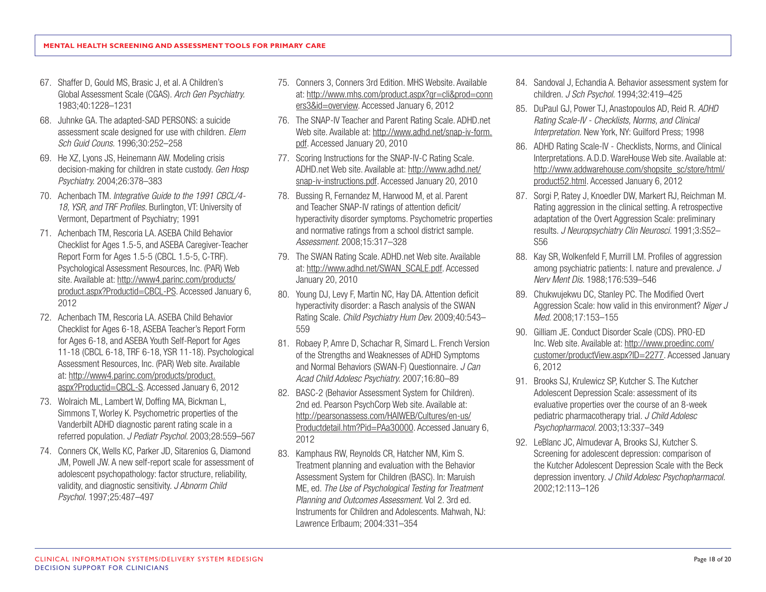- 67. Shaffer D, Gould MS, Brasic J, et al. A Children's Global Assessment Scale (CGAS). *Arch Gen Psychiatry.*  1983;40:1228–1231
- 68. Juhnke GA. The adapted-SAD PERSONS: a suicide assessment scale designed for use with children. *Elem Sch Guid Couns.* 1996;30:252–258
- 69. He XZ, Lyons JS, Heinemann AW. Modeling crisis decision-making for children in state custody. *Gen Hosp Psychiatry.* 2004;26:378–383
- 70. Achenbach TM. *Integrative Guide to the 1991 CBCL/4- 18, YSR, and TRF Profiles.* Burlington, VT: University of Vermont, Department of Psychiatry; 1991
- 71. Achenbach TM, Rescoria LA. ASEBA Child Behavior Checklist for Ages 1.5-5, and ASEBA Caregiver-Teacher Report Form for Ages 1.5-5 (CBCL 1.5-5, C-TRF). Psychological Assessment Resources, Inc. (PAR) Web site. Available at: [http://www4.parinc.com/products/](http://www4.parinc.com/products/product.aspx?Productid=CBCL-PS) [product.aspx?Productid=CBCL-PS.](http://www4.parinc.com/products/product.aspx?Productid=CBCL-PS) Accessed January 6, 2012
- 72. Achenbach TM, Rescoria LA. ASEBA Child Behavior Checklist for Ages 6-18, ASEBA Teacher's Report Form for Ages 6-18, and ASEBA Youth Self-Report for Ages 11-18 (CBCL 6-18, TRF 6-18, YSR 11-18). Psychological Assessment Resources, Inc. (PAR) Web site. Available at: [http://www4.parinc.com/products/product.](http://www4.parinc.com/products/product.aspx?Productid=CBCL-S) [aspx?Productid=CBCL-S.](http://www4.parinc.com/products/product.aspx?Productid=CBCL-S) Accessed January 6, 2012
- 73. Wolraich ML, Lambert W, Doffing MA, Bickman L, Simmons T, Worley K. Psychometric properties of the Vanderbilt ADHD diagnostic parent rating scale in a referred population. *J Pediatr Psychol.* 2003;28:559–567
- 74. Conners CK, Wells KC, Parker JD, Sitarenios G, Diamond JM, Powell JW. A new self-report scale for assessment of adolescent psychopathology: factor structure, reliability, validity, and diagnostic sensitivity. *J Abnorm Child Psychol.* 1997;25:487–497
- 75. Conners 3, Conners 3rd Edition. MHS Website. Available at: [http://www.mhs.com/product.aspx?gr=cli&prod=conn](http://www.mhs.com/product.aspx?gr=cli&prod=conners3&id=overview) [ers3&id=overview.](http://www.mhs.com/product.aspx?gr=cli&prod=conners3&id=overview) Accessed January 6, 2012
- 76. The SNAP-IV Teacher and Parent Rating Scale. ADHD.net Web site. Available at: [http://www.adhd.net/snap-iv-form.](http://www.adhd.net/snap-iv-form.pdf) [pdf](http://www.adhd.net/snap-iv-form.pdf). Accessed January 20, 2010
- 77. Scoring Instructions for the SNAP-IV-C Rating Scale. ADHD.net Web site. Available at: [http://www.adhd.net/](http://www.adhd.net/snap-iv-instructions.pdf) [snap-iv-instructions.pdf.](http://www.adhd.net/snap-iv-instructions.pdf) Accessed January 20, 2010
- 78. Bussing R, Fernandez M, Harwood M, et al. Parent and Teacher SNAP-IV ratings of attention deficit/ hyperactivity disorder symptoms. Psychometric properties and normative ratings from a school district sample. *Assessment.* 2008;15:317–328
- 79. The SWAN Rating Scale. ADHD.net Web site. Available at: [http://www.adhd.net/SWAN\\_SCALE.pdf](http://www.adhd.net/SWAN_SCALE.pdf). Accessed January 20, 2010
- 80. Young DJ, Levy F, Martin NC, Hay DA. Attention deficit hyperactivity disorder: a Rasch analysis of the SWAN Rating Scale. *Child Psychiatry Hum Dev.* 2009;40:543– 559
- 81. Robaey P, Amre D, Schachar R, Simard L. French Version of the Strengths and Weaknesses of ADHD Symptoms and Normal Behaviors (SWAN-F) Questionnaire. *J Can Acad Child Adolesc Psychiatry.* 2007;16:80–89
- 82. BASC-2 (Behavior Assessment System for Children). 2nd ed. Pearson PsychCorp Web site. Available at: [http://pearsonassess.com/HAIWEB/Cultures/en-us/](http://pearsonassess.com/HAIWEB/Cultures/en-us/Productdetail.htm?Pid=PAa30000) [Productdetail.htm?Pid=PAa30000](http://pearsonassess.com/HAIWEB/Cultures/en-us/Productdetail.htm?Pid=PAa30000). Accessed January 6, 2012
- 83. Kamphaus RW, Reynolds CR, Hatcher NM, Kim S. Treatment planning and evaluation with the Behavior Assessment System for Children (BASC). In: Maruish ME, ed. *The Use of Psychological Testing for Treatment Planning and Outcomes Assessment.* Vol 2. 3rd ed. Instruments for Children and Adolescents. Mahwah, NJ: Lawrence Erlbaum; 2004:331–354
- 84. Sandoval J, Echandia A. Behavior assessment system for children. *J Sch Psychol.* 1994;32:419–425
- 85. DuPaul GJ, Power TJ, Anastopoulos AD, Reid R. *ADHD Rating Scale-IV - Checklists, Norms, and Clinical Interpretation.* New York, NY: Guilford Press; 1998
- 86. ADHD Rating Scale-IV Checklists, Norms, and Clinical Interpretations. A.D.D. WareHouse Web site. Available at: [http://www.addwarehouse.com/shopsite\\_sc/store/html/](http://www.addwarehouse.com/shopsite_sc/store/html/product52.html) [product52.html](http://www.addwarehouse.com/shopsite_sc/store/html/product52.html). Accessed January 6, 2012
- 87. Sorgi P, Ratey J, Knoedler DW, Markert RJ, Reichman M. Rating aggression in the clinical setting. A retrospective adaptation of the Overt Aggression Scale: preliminary results. *J Neuropsychiatry Clin Neurosci.* 1991;3:S52– S56
- 88. Kay SR, Wolkenfeld F, Murrill LM. Profiles of aggression among psychiatric patients: I. nature and prevalence. *J Nerv Ment Dis.* 1988;176:539–546
- 89. Chukwujekwu DC, Stanley PC. The Modified Overt Aggression Scale: how valid in this environment? *Niger J Med.* 2008;17:153–155
- 90. Gilliam JE. Conduct Disorder Scale (CDS). PRO-ED Inc. Web site. Available at: [http://www.proedinc.com/](http://www.proedinc.com/customer/productView.aspx?ID=2277) [customer/productView.aspx?ID=2277](http://www.proedinc.com/customer/productView.aspx?ID=2277). Accessed January 6, 2012
- 91. Brooks SJ, Krulewicz SP, Kutcher S. The Kutcher Adolescent Depression Scale: assessment of its evaluative properties over the course of an 8-week pediatric pharmacotherapy trial. *J Child Adolesc Psychopharmacol.* 2003;13:337–349
- 92. LeBlanc JC, Almudevar A, Brooks SJ, Kutcher S. Screening for adolescent depression: comparison of the Kutcher Adolescent Depression Scale with the Beck depression inventory. *J Child Adolesc Psychopharmacol.*  2002;12:113–126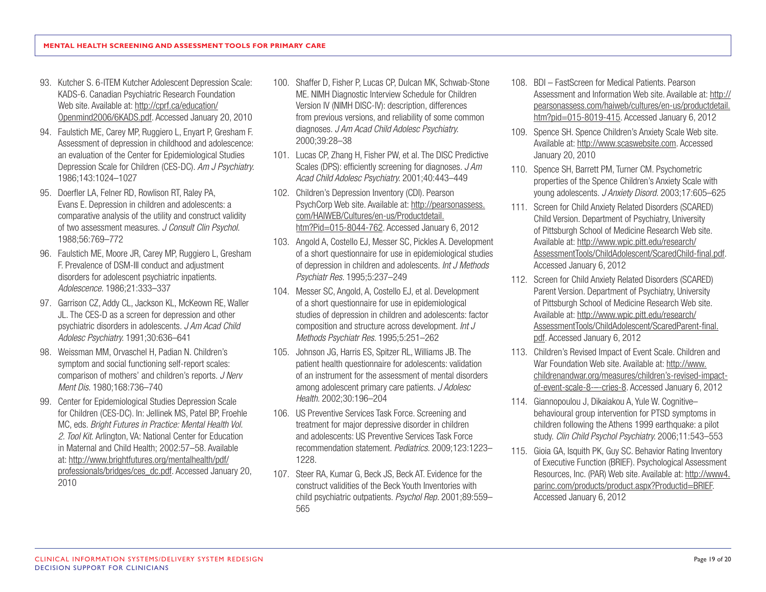- 93. Kutcher S. 6-ITEM Kutcher Adolescent Depression Scale: KADS-6. Canadian Psychiatric Research Foundation Web site. Available at: [http://cprf.ca/education/](http://cprf.ca/education/Openmind2006/6KADS.pdf) [Openmind2006/6KADS.pdf.](http://cprf.ca/education/Openmind2006/6KADS.pdf) Accessed January 20, 2010
- 94. Faulstich ME, Carey MP, Ruggiero L, Enyart P, Gresham F. Assessment of depression in childhood and adolescence: an evaluation of the Center for Epidemiological Studies Depression Scale for Children (CES-DC). *Am J Psychiatry.*  1986;143:1024–1027
- 95. Doerfler LA, Felner RD, Rowlison RT, Raley PA, Evans E. Depression in children and adolescents: a comparative analysis of the utility and construct validity of two assessment measures. *J Consult Clin Psychol.*  1988;56:769–772
- 96. Faulstich ME, Moore JR, Carey MP, Ruggiero L, Gresham F. Prevalence of DSM-III conduct and adjustment disorders for adolescent psychiatric inpatients. *Adolescence.* 1986;21:333–337
- 97. Garrison CZ, Addy CL, Jackson KL, McKeown RE, Waller JL. The CES-D as a screen for depression and other psychiatric disorders in adolescents. *J Am Acad Child Adolesc Psychiatry.* 1991;30:636–641
- 98. Weissman MM, Orvaschel H, Padian N. Children's symptom and social functioning self-report scales: comparison of mothers' and children's reports. *J Nerv Ment Dis.* 1980;168:736–740
- 99. Center for Epidemiological Studies Depression Scale for Children (CES-DC). In: Jellinek MS, Patel BP, Froehle MC, eds. *Bright Futures in Practice: Mental Health Vol. 2. Tool Kit.* Arlington, VA: National Center for Education in Maternal and Child Health; 2002:57–58. Available at: [http://www.brightfutures.org/mentalhealth/pdf/](http://www.brightfutures.org/mentalhealth/pdf/professionals/bridges/ces_dc.pdf) [professionals/bridges/ces\\_dc.pdf.](http://www.brightfutures.org/mentalhealth/pdf/professionals/bridges/ces_dc.pdf) Accessed January 20, 2010
- 100. Shaffer D, Fisher P, Lucas CP, Dulcan MK, Schwab-Stone ME. NIMH Diagnostic Interview Schedule for Children Version IV (NIMH DISC-IV): description, differences from previous versions, and reliability of some common diagnoses. *J Am Acad Child Adolesc Psychiatry.*  2000;39:28–38
- 101. Lucas CP, Zhang H, Fisher PW, et al. The DISC Predictive Scales (DPS): efficiently screening for diagnoses. *J Am Acad Child Adolesc Psychiatry.* 2001;40:443–449
- 102. Children's Depression Inventory (CDI). Pearson PsychCorp Web site. Available at: [http://pearsonassess.](http://pearsonassess.com/HAIWEB/Cultures/en-us/Productdetail.htm?Pid=015-8044-762) [com/HAIWEB/Cultures/en-us/Productdetail.](http://pearsonassess.com/HAIWEB/Cultures/en-us/Productdetail.htm?Pid=015-8044-762) [htm?Pid=015-8044-762.](http://pearsonassess.com/HAIWEB/Cultures/en-us/Productdetail.htm?Pid=015-8044-762) Accessed January 6, 2012
- 103. Angold A, Costello EJ, Messer SC, Pickles A. Development of a short questionnaire for use in epidemiological studies of depression in children and adolescents. *Int J Methods Psychiatr Res.* 1995;5:237–249
- 104. Messer SC, Angold, A, Costello EJ, et al. Development of a short questionnaire for use in epidemiological studies of depression in children and adolescents: factor composition and structure across development. *Int J Methods Psychiatr Res.* 1995;5:251–262
- 105. Johnson JG, Harris ES, Spitzer RL, Williams JB. The patient health questionnaire for adolescents: validation of an instrument for the assessment of mental disorders among adolescent primary care patients. *J Adolesc Health.* 2002;30:196–204
- 106. US Preventive Services Task Force. Screening and treatment for major depressive disorder in children and adolescents: US Preventive Services Task Force recommendation statement. *Pediatrics.* 2009;123:1223– 1228.
- 107. Steer RA, Kumar G, Beck JS, Beck AT. Evidence for the construct validities of the Beck Youth Inventories with child psychiatric outpatients. *Psychol Rep.* 2001;89:559– 565
- 108. BDI FastScreen for Medical Patients. Pearson Assessment and Information Web site. Available at: [http://](http://pearsonassess.com/haiweb/cultures/en-us/productdetail.htm?pid=015-8019-415) [pearsonassess.com/haiweb/cultures/en-us/productdetail.](http://pearsonassess.com/haiweb/cultures/en-us/productdetail.htm?pid=015-8019-415) [htm?pid=015-8019-415](http://pearsonassess.com/haiweb/cultures/en-us/productdetail.htm?pid=015-8019-415). Accessed January 6, 2012
- 109. Spence SH. Spence Children's Anxiety Scale Web site. Available at: <http://www.scaswebsite.com>. Accessed January 20, 2010
- 110. Spence SH, Barrett PM, Turner CM. Psychometric properties of the Spence Children's Anxiety Scale with young adolescents. *J Anxiety Disord.* 2003;17:605–625
- 111. Screen for Child Anxiety Related Disorders (SCARED) Child Version. Department of Psychiatry, University of Pittsburgh School of Medicine Research Web site. Available at: [http://www.wpic.pitt.edu/research/](http://www.wpic.pitt.edu/research/AssessmentTools/ChildAdolescent/ScaredChild-final.pdf) [AssessmentTools/ChildAdolescent/ScaredChild-final.pdf](http://www.wpic.pitt.edu/research/AssessmentTools/ChildAdolescent/ScaredChild-final.pdf). Accessed January 6, 2012
- 112. Screen for Child Anxiety Related Disorders (SCARED) Parent Version. Department of Psychiatry, University of Pittsburgh School of Medicine Research Web site. Available at: [http://www.wpic.pitt.edu/research/](http://www.wpic.pitt.edu/research/AssessmentTools/ChildAdolescent/ScaredParent-final.pdf) [AssessmentTools/ChildAdolescent/ScaredParent-final.](http://www.wpic.pitt.edu/research/AssessmentTools/ChildAdolescent/ScaredParent-final.pdf) [pdf](http://www.wpic.pitt.edu/research/AssessmentTools/ChildAdolescent/ScaredParent-final.pdf). Accessed January 6, 2012
- 113. Children's Revised Impact of Event Scale. Children and War Foundation Web site. Available at: http://www. childrenandwar.org/measures/children's-revised-impactof-event-scale-8-–-cries-8. Accessed January 6, 2012
- 114. Giannopoulou J, Dikaiakou A, Yule W. Cognitive– behavioural group intervention for PTSD symptoms in children following the Athens 1999 earthquake: a pilot study. *Clin Child Psychol Psychiatry.* 2006;11:543–553
- 115. Gioia GA, Isquith PK, Guy SC. Behavior Rating Inventory of Executive Function (BRIEF). Psychological Assessment Resources, Inc. (PAR) Web site. Available at: [http://www4.](http://www4.parinc.com/products/product.aspx?Productid=BRIEF) [parinc.com/products/product.aspx?Productid=BRIEF](http://www4.parinc.com/products/product.aspx?Productid=BRIEF). Accessed January 6, 2012